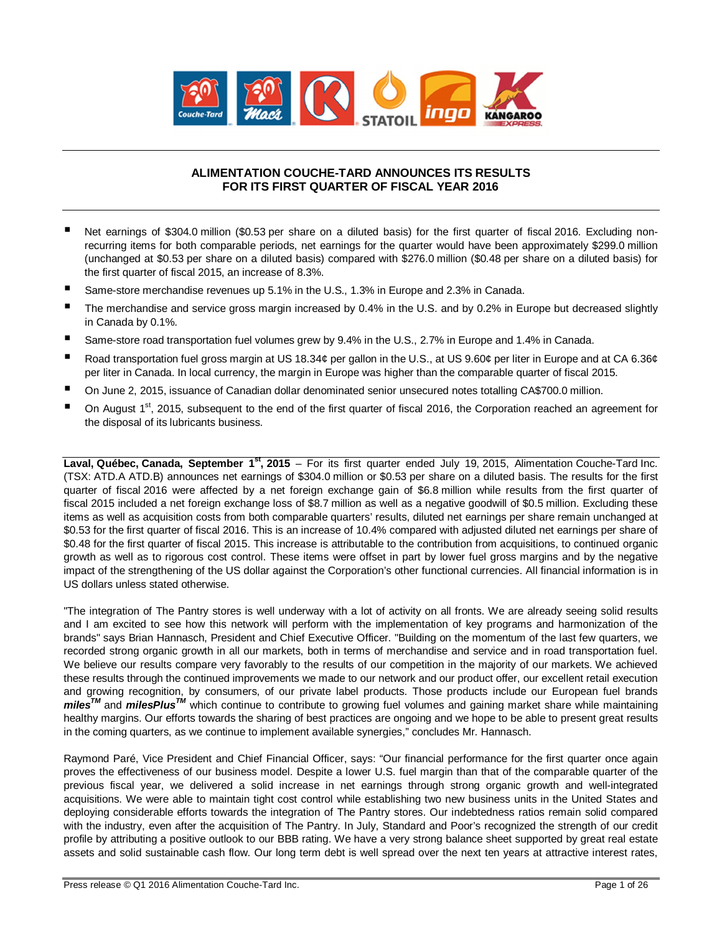

## **ALIMENTATION COUCHE-TARD ANNOUNCES ITS RESULTS FOR ITS FIRST QUARTER OF FISCAL YEAR 2016**

- Net earnings of \$304.0 million (\$0.53 per share on a diluted basis) for the first quarter of fiscal 2016. Excluding nonrecurring items for both comparable periods, net earnings for the quarter would have been approximately \$299.0 million (unchanged at \$0.53 per share on a diluted basis) compared with \$276.0 million (\$0.48 per share on a diluted basis) for the first quarter of fiscal 2015, an increase of 8.3%.
- Same-store merchandise revenues up 5.1% in the U.S., 1.3% in Europe and 2.3% in Canada.
- The merchandise and service gross margin increased by 0.4% in the U.S. and by 0.2% in Europe but decreased slightly in Canada by 0.1%.
- Same-store road transportation fuel volumes grew by 9.4% in the U.S., 2.7% in Europe and 1.4% in Canada.
- Road transportation fuel gross margin at US 18.34¢ per gallon in the U.S., at US 9.60¢ per liter in Europe and at CA 6.36¢ per liter in Canada. In local currency, the margin in Europe was higher than the comparable quarter of fiscal 2015.
- On June 2, 2015, issuance of Canadian dollar denominated senior unsecured notes totalling CA\$700.0 million.
- On August 1<sup>st</sup>, 2015, subsequent to the end of the first quarter of fiscal 2016, the Corporation reached an agreement for the disposal of its lubricants business.

**Laval, Québec, Canada, September 1st , 2015** – For its first quarter ended July 19, 2015, Alimentation Couche-Tard Inc. (TSX: ATD.A ATD.B) announces net earnings of \$304.0 million or \$0.53 per share on a diluted basis. The results for the first quarter of fiscal 2016 were affected by a net foreign exchange gain of \$6.8 million while results from the first quarter of fiscal 2015 included a net foreign exchange loss of \$8.7 million as well as a negative goodwill of \$0.5 million. Excluding these items as well as acquisition costs from both comparable quarters' results, diluted net earnings per share remain unchanged at \$0.53 for the first quarter of fiscal 2016. This is an increase of 10.4% compared with adjusted diluted net earnings per share of \$0.48 for the first quarter of fiscal 2015. This increase is attributable to the contribution from acquisitions, to continued organic growth as well as to rigorous cost control. These items were offset in part by lower fuel gross margins and by the negative impact of the strengthening of the US dollar against the Corporation's other functional currencies. All financial information is in US dollars unless stated otherwise.

"The integration of The Pantry stores is well underway with a lot of activity on all fronts. We are already seeing solid results and I am excited to see how this network will perform with the implementation of key programs and harmonization of the brands" says Brian Hannasch, President and Chief Executive Officer. "Building on the momentum of the last few quarters, we recorded strong organic growth in all our markets, both in terms of merchandise and service and in road transportation fuel. We believe our results compare very favorably to the results of our competition in the majority of our markets. We achieved these results through the continued improvements we made to our network and our product offer, our excellent retail execution and growing recognition, by consumers, of our private label products. Those products include our European fuel brands *milesTM* and *milesPlusTM* which continue to contribute to growing fuel volumes and gaining market share while maintaining healthy margins. Our efforts towards the sharing of best practices are ongoing and we hope to be able to present great results in the coming quarters, as we continue to implement available synergies," concludes Mr. Hannasch.

Raymond Paré, Vice President and Chief Financial Officer, says: "Our financial performance for the first quarter once again proves the effectiveness of our business model. Despite a lower U.S. fuel margin than that of the comparable quarter of the previous fiscal year, we delivered a solid increase in net earnings through strong organic growth and well-integrated acquisitions. We were able to maintain tight cost control while establishing two new business units in the United States and deploying considerable efforts towards the integration of The Pantry stores. Our indebtedness ratios remain solid compared with the industry, even after the acquisition of The Pantry. In July, Standard and Poor's recognized the strength of our credit profile by attributing a positive outlook to our BBB rating. We have a very strong balance sheet supported by great real estate assets and solid sustainable cash flow. Our long term debt is well spread over the next ten years at attractive interest rates,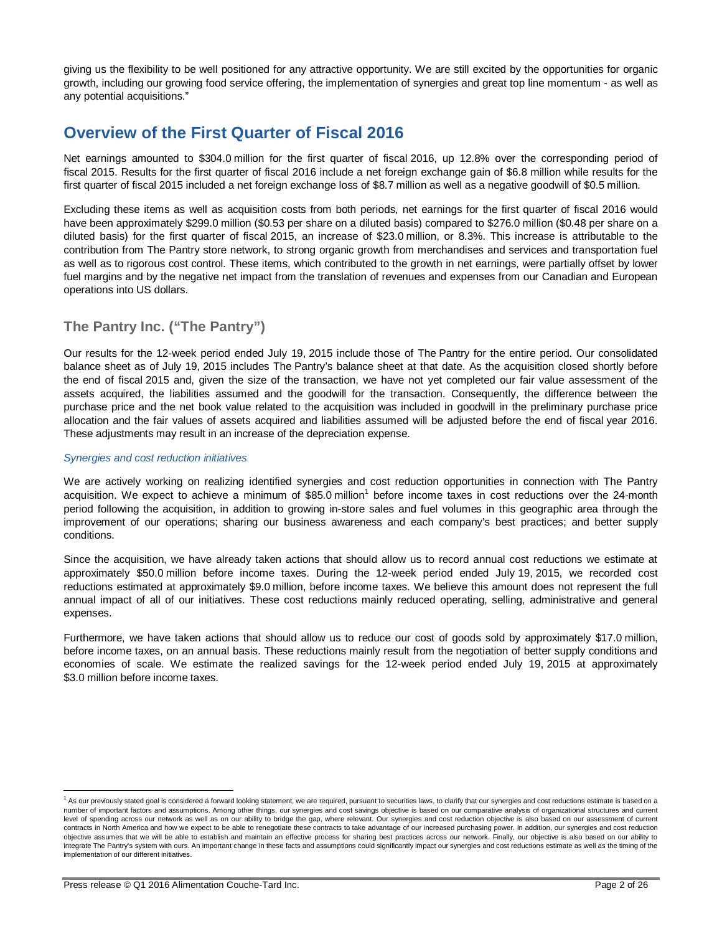giving us the flexibility to be well positioned for any attractive opportunity. We are still excited by the opportunities for organic growth, including our growing food service offering, the implementation of synergies and great top line momentum - as well as any potential acquisitions."

# **Overview of the First Quarter of Fiscal 2016**

Net earnings amounted to \$304.0 million for the first quarter of fiscal 2016, up 12.8% over the corresponding period of fiscal 2015. Results for the first quarter of fiscal 2016 include a net foreign exchange gain of \$6.8 million while results for the first quarter of fiscal 2015 included a net foreign exchange loss of \$8.7 million as well as a negative goodwill of \$0.5 million.

Excluding these items as well as acquisition costs from both periods, net earnings for the first quarter of fiscal 2016 would have been approximately \$299.0 million (\$0.53 per share on a diluted basis) compared to \$276.0 million (\$0.48 per share on a diluted basis) for the first quarter of fiscal 2015, an increase of \$23.0 million, or 8.3%. This increase is attributable to the contribution from The Pantry store network, to strong organic growth from merchandises and services and transportation fuel as well as to rigorous cost control. These items, which contributed to the growth in net earnings, were partially offset by lower fuel margins and by the negative net impact from the translation of revenues and expenses from our Canadian and European operations into US dollars.

# **The Pantry Inc. ("The Pantry")**

Our results for the 12-week period ended July 19, 2015 include those of The Pantry for the entire period. Our consolidated balance sheet as of July 19, 2015 includes The Pantry's balance sheet at that date. As the acquisition closed shortly before the end of fiscal 2015 and, given the size of the transaction, we have not yet completed our fair value assessment of the assets acquired, the liabilities assumed and the goodwill for the transaction. Consequently, the difference between the purchase price and the net book value related to the acquisition was included in goodwill in the preliminary purchase price allocation and the fair values of assets acquired and liabilities assumed will be adjusted before the end of fiscal year 2016. These adjustments may result in an increase of the depreciation expense.

## *Synergies and cost reduction initiatives*

We are actively working on realizing identified synergies and cost reduction opportunities in connection with The Pantry acquisition. We expect to achieve a minimum of \$85.0 million<sup>1</sup> before income taxes in cost reductions over the 24-month period following the acquisition, in addition to growing in-store sales and fuel volumes in this geographic area through the improvement of our operations; sharing our business awareness and each company's best practices; and better supply conditions.

Since the acquisition, we have already taken actions that should allow us to record annual cost reductions we estimate at approximately \$50.0 million before income taxes. During the 12-week period ended July 19, 2015, we recorded cost reductions estimated at approximately \$9.0 million, before income taxes. We believe this amount does not represent the full annual impact of all of our initiatives. These cost reductions mainly reduced operating, selling, administrative and general expenses.

Furthermore, we have taken actions that should allow us to reduce our cost of goods sold by approximately \$17.0 million, before income taxes, on an annual basis. These reductions mainly result from the negotiation of better supply conditions and economies of scale. We estimate the realized savings for the 12-week period ended July 19, 2015 at approximately \$3.0 million before income taxes.

<sup>1&</sup>lt;br>As our previously stated goal is considered a forward looking statement, we are required, pursuant to securities laws, to clarify that our synergies and cost reductions estimate is based on a number of important factors and assumptions. Among other things, our synergies and cost savings objective is based on our comparative analysis of organizational structures and current level of spending across our network as well as on our ability to bridge the gap, where relevant. Our synergies and cost reduction objective is also based on our assessment of current contracts in North America and how we expect to be able to renegotiate these contracts to take advantage of our increased purchasing power. In addition, our synergies and cost reduction objective assumes that we will be able to establish and maintain an effective process for sharing best practices across our network. Finally, our objective is also based on our ability to integrate The Pantry's system with ours. An important change in these facts and assumptions could significantly impact our synergies and cost reductions estimate as well as the timing of the implementation of our different initiatives.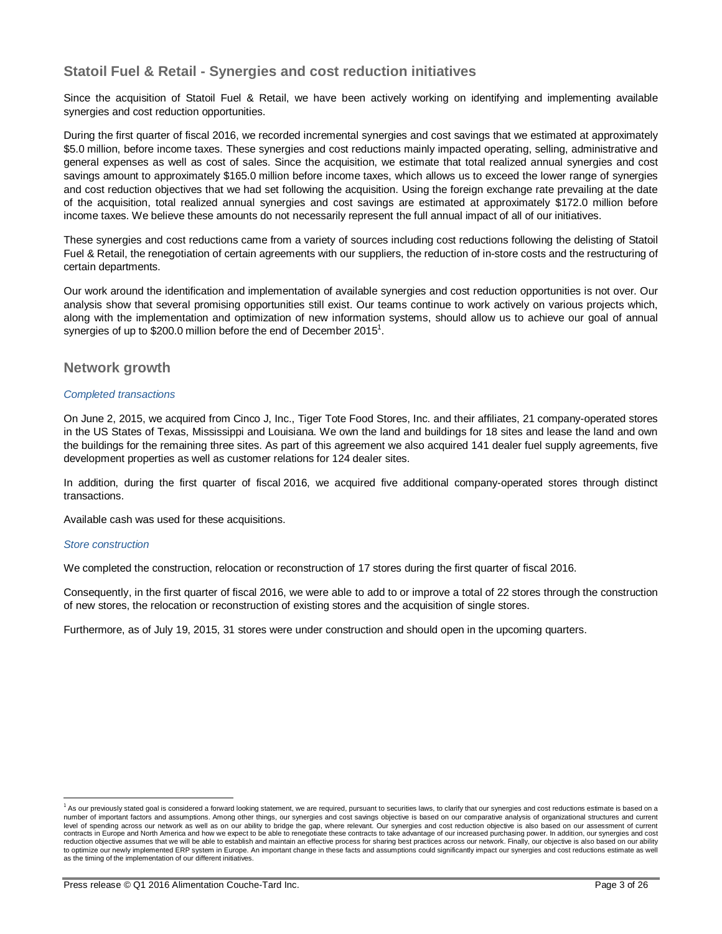# **Statoil Fuel & Retail - Synergies and cost reduction initiatives**

Since the acquisition of Statoil Fuel & Retail, we have been actively working on identifying and implementing available synergies and cost reduction opportunities.

During the first quarter of fiscal 2016, we recorded incremental synergies and cost savings that we estimated at approximately \$5.0 million, before income taxes. These synergies and cost reductions mainly impacted operating, selling, administrative and general expenses as well as cost of sales. Since the acquisition, we estimate that total realized annual synergies and cost savings amount to approximately \$165.0 million before income taxes, which allows us to exceed the lower range of synergies and cost reduction objectives that we had set following the acquisition. Using the foreign exchange rate prevailing at the date of the acquisition, total realized annual synergies and cost savings are estimated at approximately \$172.0 million before income taxes. We believe these amounts do not necessarily represent the full annual impact of all of our initiatives.

These synergies and cost reductions came from a variety of sources including cost reductions following the delisting of Statoil Fuel & Retail, the renegotiation of certain agreements with our suppliers, the reduction of in-store costs and the restructuring of certain departments.

Our work around the identification and implementation of available synergies and cost reduction opportunities is not over. Our analysis show that several promising opportunities still exist. Our teams continue to work actively on various projects which, along with the implementation and optimization of new information systems, should allow us to achieve our goal of annual synergies of up to \$200.0 million before the end of December 2015 $^{\rm 1}.$ 

## **Network growth**

#### *Completed transactions*

On June 2, 2015, we acquired from Cinco J, Inc., Tiger Tote Food Stores, Inc. and their affiliates, 21 company-operated stores in the US States of Texas, Mississippi and Louisiana. We own the land and buildings for 18 sites and lease the land and own the buildings for the remaining three sites. As part of this agreement we also acquired 141 dealer fuel supply agreements, five development properties as well as customer relations for 124 dealer sites.

In addition, during the first quarter of fiscal 2016, we acquired five additional company-operated stores through distinct transactions.

Available cash was used for these acquisitions.

#### *Store construction*

 $\overline{a}$ 

We completed the construction, relocation or reconstruction of 17 stores during the first quarter of fiscal 2016.

Consequently, in the first quarter of fiscal 2016, we were able to add to or improve a total of 22 stores through the construction of new stores, the relocation or reconstruction of existing stores and the acquisition of single stores.

Furthermore, as of July 19, 2015, 31 stores were under construction and should open in the upcoming quarters.

<sup>&</sup>lt;sup>1</sup> As our previously stated goal is considered a forward looking statement, we are required, pursuant to securities laws, to clarify that our synergies and cost reductions estimate is based on a number of important factors and assumptions. Among other things, our synergies and cost savings objective is based on our comparative analysis of organizational structures and current<br>level of spending across our network a contracts in Europe and North America and how we expect to be able to renegotiate these contracts to take advantage of our increased purchasing power. In addition, our synergies and cost reduction objective assumes that we will be able to establish and maintain an effective process for sharing best practices across our network. Finally, our objective is also based on our ability to optimize our newly implemented ERP system in Europe. An important change in these facts and assumptions could significantly impact our synergies and cost reductions estimate as well as the timing of the implementation of our different initiatives.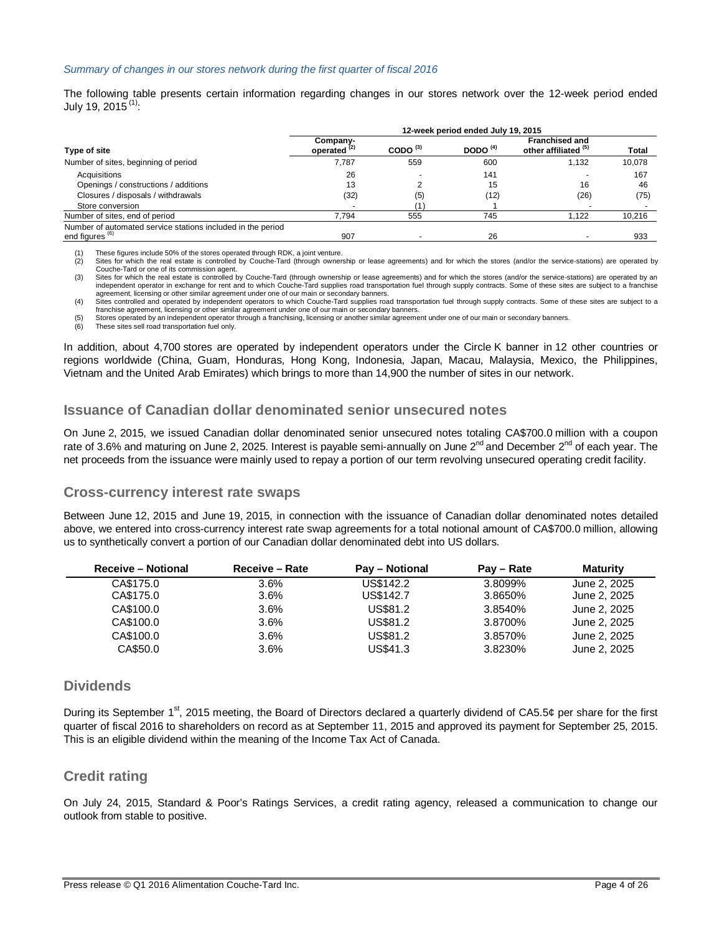#### *Summary of changes in our stores network during the first quarter of fiscal 2016*

The following table presents certain information regarding changes in our stores network over the 12-week period ended July 19, 2015 $(1)$ :

|                                                                                           | 12-week period ended July 19, 2015  |               |            |                                                          |              |  |
|-------------------------------------------------------------------------------------------|-------------------------------------|---------------|------------|----------------------------------------------------------|--------------|--|
| <b>Type of site</b>                                                                       | Company-<br>operated <sup>(2)</sup> | CODO $^{(3)}$ | DODO $(4)$ | <b>Franchised and</b><br>other affiliated <sup>(5)</sup> | <b>Total</b> |  |
| Number of sites, beginning of period                                                      | 7.787                               | 559           | 600        | 1.132                                                    | 10,078       |  |
| Acquisitions                                                                              | 26                                  |               | 141        |                                                          | 167          |  |
| Openings / constructions / additions                                                      | 13                                  |               | 15         | 16                                                       | 46           |  |
| Closures / disposals / withdrawals                                                        | (32)                                | (5)           | (12)       | (26)                                                     | (75)         |  |
| Store conversion                                                                          | <b>-</b>                            |               |            |                                                          |              |  |
| Number of sites, end of period                                                            | 7.794                               | 555           | 745        | 1.122                                                    | 10,216       |  |
| Number of automated service stations included in the period<br>end figures <sup>(6)</sup> | 907                                 |               | 26         |                                                          | 933          |  |

(1) These figures include 50% of the stores operated through RDK, a joint venture.<br>(2) Sites for which the real estate is controlled by Couche-Tard (through owner Sites for which the real estate is controlled by Couche-Tard (through ownership or lease agreements) and for which the stores (and/or the service-stations) are operated by Couche-Tard or one of its commission agent.

Sites for which the real estate is controlled by Couche-Tard (through ownership or lease agreements) and for which the stores (and/or the service-stations) are operated by an Sites for which the stores (and/or the serviceindependent operator in exchange for rent and to which Couche-Tard supplies road transportation fuel through supply contracts. Some of these sites are subject to a franchise agreement, licensing or other similar agreement under one of our main or secondary banners.

(4) Sites controlled and operated by independent operators to which Couche-Tard supplies road transportation fuel through supply contracts. Some of these sites are subject to a franchise agreement, licensing or other similar agreement under one of our main or secondary banners.

(5) Stores operated by an independent operator through a franchising, licensing or another similar agreement under one of our main or secondary banners.

These sites sell road transportation fuel only.

In addition, about 4,700 stores are operated by independent operators under the Circle K banner in 12 other countries or regions worldwide (China, Guam, Honduras, Hong Kong, Indonesia, Japan, Macau, Malaysia, Mexico, the Philippines, Vietnam and the United Arab Emirates) which brings to more than 14,900 the number of sites in our network.

# **Issuance of Canadian dollar denominated senior unsecured notes**

On June 2, 2015, we issued Canadian dollar denominated senior unsecured notes totaling CA\$700.0 million with a coupon rate of 3.6% and maturing on June 2, 2025. Interest is payable semi-annually on June 2<sup>nd</sup> and December 2<sup>nd</sup> of each year. The net proceeds from the issuance were mainly used to repay a portion of our term revolving unsecured operating credit facility.

## **Cross-currency interest rate swaps**

Between June 12, 2015 and June 19, 2015, in connection with the issuance of Canadian dollar denominated notes detailed above, we entered into cross-currency interest rate swap agreements for a total notional amount of CA\$700.0 million, allowing us to synthetically convert a portion of our Canadian dollar denominated debt into US dollars.

| <b>Receive - Notional</b> | Receive - Rate | <b>Pay – Notional</b> | Pay – Rate | <b>Maturity</b> |
|---------------------------|----------------|-----------------------|------------|-----------------|
| CA\$175.0                 | $3.6\%$        | US\$142.2             | 3.8099%    | June 2, 2025    |
| CA\$175.0                 | $3.6\%$        | US\$142.7             | 3.8650%    | June 2, 2025    |
| CA\$100.0                 | 3.6%           | US\$81.2              | 3.8540%    | June 2, 2025    |
| CA\$100.0                 | $3.6\%$        | US\$81.2              | 3.8700%    | June 2, 2025    |
| CA\$100.0                 | $3.6\%$        | US\$81.2              | 3.8570%    | June 2, 2025    |
| CA\$50.0                  | $3.6\%$        | US\$41.3              | 3.8230%    | June 2, 2025    |

## **Dividends**

During its September 1<sup>st</sup>, 2015 meeting, the Board of Directors declared a quarterly dividend of CA5.5¢ per share for the first quarter of fiscal 2016 to shareholders on record as at September 11, 2015 and approved its payment for September 25, 2015. This is an eligible dividend within the meaning of the Income Tax Act of Canada.

## **Credit rating**

On July 24, 2015, Standard & Poor's Ratings Services, a credit rating agency, released a communication to change our outlook from stable to positive.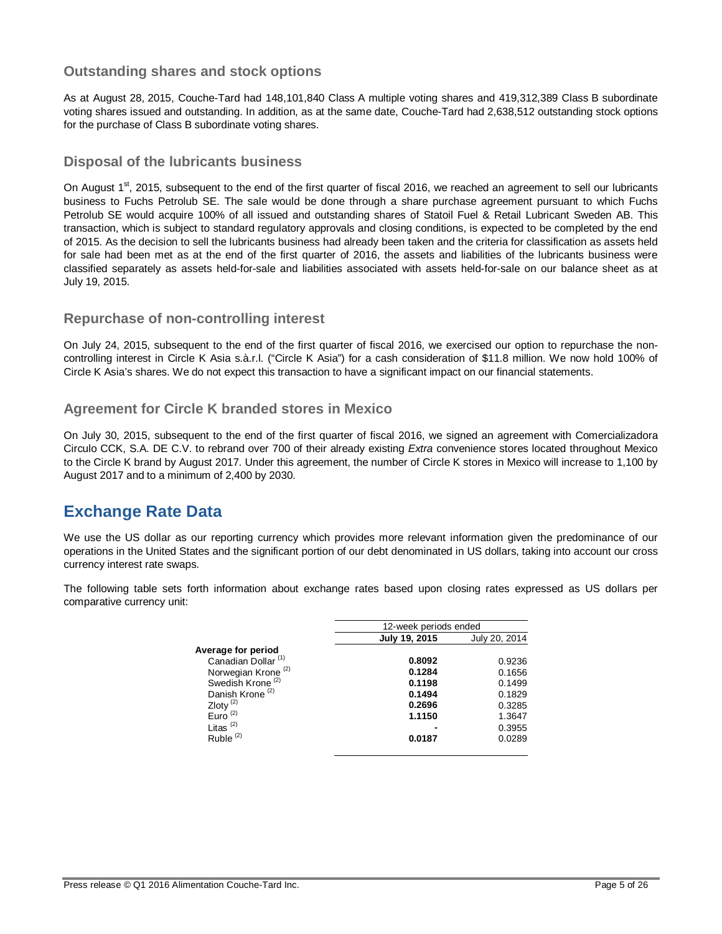# **Outstanding shares and stock options**

As at August 28, 2015, Couche-Tard had 148,101,840 Class A multiple voting shares and 419,312,389 Class B subordinate voting shares issued and outstanding. In addition, as at the same date, Couche-Tard had 2,638,512 outstanding stock options for the purchase of Class B subordinate voting shares.

# **Disposal of the lubricants business**

On August 1<sup>st</sup>, 2015, subsequent to the end of the first quarter of fiscal 2016, we reached an agreement to sell our lubricants business to Fuchs Petrolub SE. The sale would be done through a share purchase agreement pursuant to which Fuchs Petrolub SE would acquire 100% of all issued and outstanding shares of Statoil Fuel & Retail Lubricant Sweden AB. This transaction, which is subject to standard regulatory approvals and closing conditions, is expected to be completed by the end of 2015. As the decision to sell the lubricants business had already been taken and the criteria for classification as assets held for sale had been met as at the end of the first quarter of 2016, the assets and liabilities of the lubricants business were classified separately as assets held-for-sale and liabilities associated with assets held-for-sale on our balance sheet as at July 19, 2015.

# **Repurchase of non-controlling interest**

On July 24, 2015, subsequent to the end of the first quarter of fiscal 2016, we exercised our option to repurchase the noncontrolling interest in Circle K Asia s.à.r.l. ("Circle K Asia") for a cash consideration of \$11.8 million. We now hold 100% of Circle K Asia's shares. We do not expect this transaction to have a significant impact on our financial statements.

# **Agreement for Circle K branded stores in Mexico**

On July 30, 2015, subsequent to the end of the first quarter of fiscal 2016, we signed an agreement with Comercializadora Circulo CCK, S.A. DE C.V. to rebrand over 700 of their already existing *Extra* convenience stores located throughout Mexico to the Circle K brand by August 2017. Under this agreement, the number of Circle K stores in Mexico will increase to 1,100 by August 2017 and to a minimum of 2,400 by 2030.

# **Exchange Rate Data**

We use the US dollar as our reporting currency which provides more relevant information given the predominance of our operations in the United States and the significant portion of our debt denominated in US dollars, taking into account our cross currency interest rate swaps.

The following table sets forth information about exchange rates based upon closing rates expressed as US dollars per comparative currency unit:

|                                | 12-week periods ended |               |
|--------------------------------|-----------------------|---------------|
|                                | July 19, 2015         | July 20, 2014 |
| Average for period             |                       |               |
| Canadian Dollar <sup>(1)</sup> | 0.8092                | 0.9236        |
| Norwegian Krone <sup>(2)</sup> | 0.1284                | 0.1656        |
| Swedish Krone <sup>(2)</sup>   | 0.1198                | 0.1499        |
| Danish Krone <sup>(2)</sup>    | 0.1494                | 0.1829        |
| Zloty $^{(2)}$                 | 0.2696                | 0.3285        |
| Euro $^{(2)}$                  | 1.1150                | 1.3647        |
| Litas $(2)$                    |                       | 0.3955        |
| Ruble <sup>(2)</sup>           | 0.0187                | 0.0289        |
|                                |                       |               |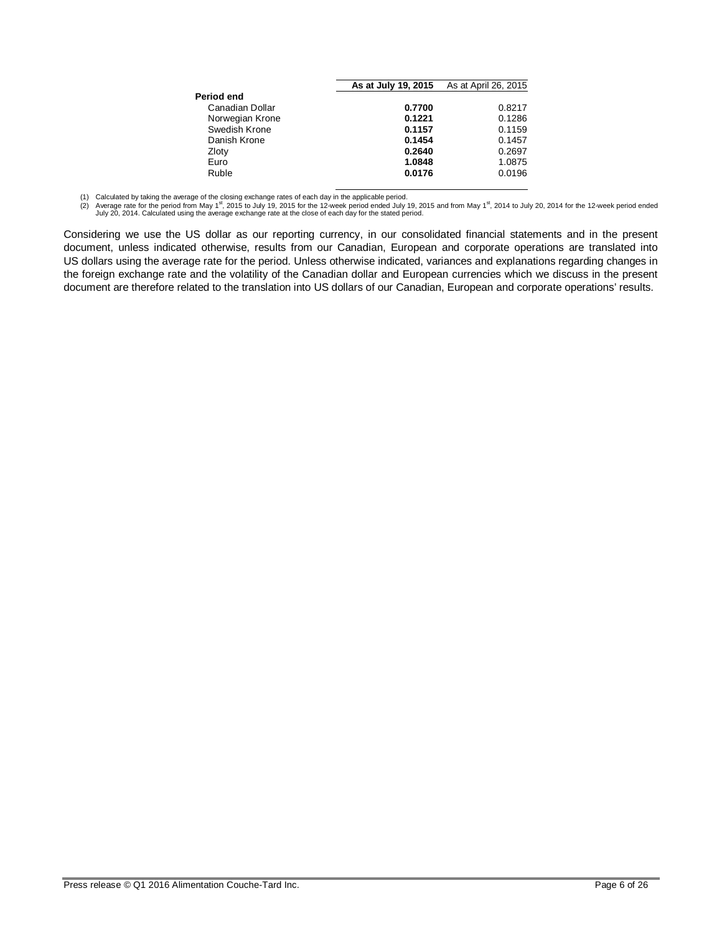|                 | As at July 19, 2015 | As at April 26, 2015 |
|-----------------|---------------------|----------------------|
| Period end      |                     |                      |
| Canadian Dollar | 0.7700              | 0.8217               |
| Norwegian Krone | 0.1221              | 0.1286               |
| Swedish Krone   | 0.1157              | 0.1159               |
| Danish Krone    | 0.1454              | 0.1457               |
| Zloty           | 0.2640              | 0.2697               |
| Euro            | 1.0848              | 1.0875               |
| Ruble           | 0.0176              | 0.0196               |
|                 |                     |                      |

(1) Calculated by taking the average of the closing exchange rates of each day in the applicable period.<br>(2) Average rate for the period from May 1<sup>s</sup>, 2015 to July 19, 2015 for the 12-week period ended July 19, 2015 and f

Considering we use the US dollar as our reporting currency, in our consolidated financial statements and in the present document, unless indicated otherwise, results from our Canadian, European and corporate operations are translated into US dollars using the average rate for the period. Unless otherwise indicated, variances and explanations regarding changes in the foreign exchange rate and the volatility of the Canadian dollar and European currencies which we discuss in the present document are therefore related to the translation into US dollars of our Canadian, European and corporate operations' results.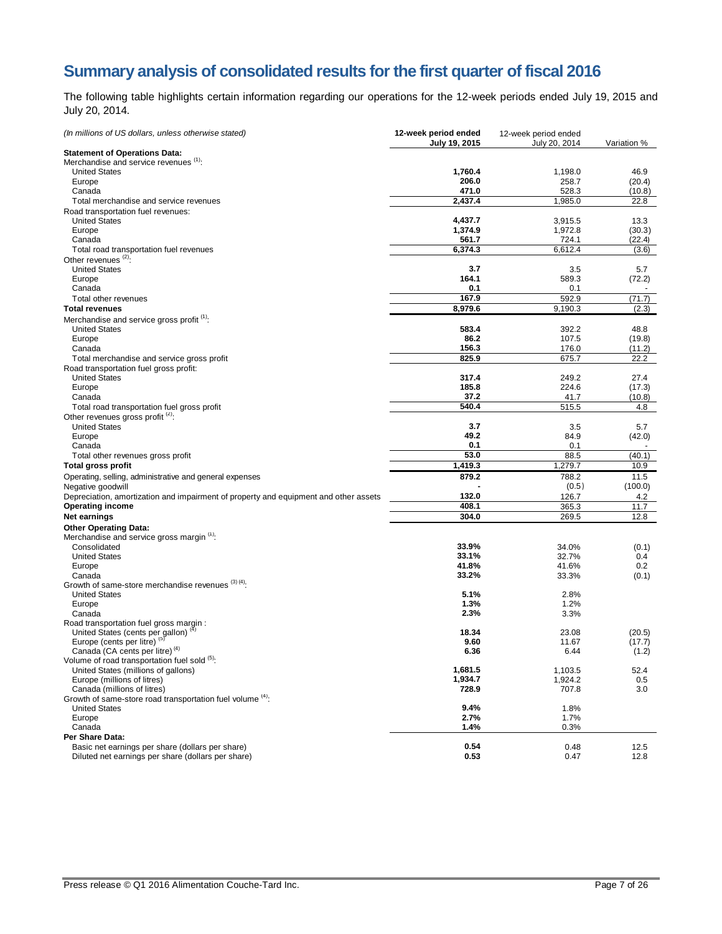# **Summary analysis of consolidated results for the first quarter of fiscal 2016**

The following table highlights certain information regarding our operations for the 12-week periods ended July 19, 2015 and July 20, 2014.

| (In millions of US dollars, unless otherwise stated)                                       | 12-week period ended<br>July 19, 2015 | 12-week period ended<br>July 20, 2014 | Variation %      |
|--------------------------------------------------------------------------------------------|---------------------------------------|---------------------------------------|------------------|
| <b>Statement of Operations Data:</b>                                                       |                                       |                                       |                  |
| Merchandise and service revenues (1):                                                      |                                       |                                       |                  |
| <b>United States</b>                                                                       | 1,760.4                               | 1,198.0                               | 46.9             |
| Europe                                                                                     | 206.0                                 | 258.7                                 | (20.4)           |
| Canada                                                                                     | 471.0                                 | 528.3                                 | (10.8)           |
| Total merchandise and service revenues                                                     | 2,437.4                               | 1,985.0                               | 22.8             |
| Road transportation fuel revenues:                                                         |                                       |                                       |                  |
| <b>United States</b>                                                                       | 4,437.7                               | 3,915.5                               | 13.3             |
| Europe                                                                                     | 1,374.9                               | 1,972.8                               | (30.3)           |
| Canada                                                                                     | 561.7                                 | 724.1                                 | (22.4)           |
| Total road transportation fuel revenues                                                    | 6,374.3                               | 6,612.4                               | (3.6)            |
| Other revenues <sup>(2)</sup> :                                                            |                                       |                                       |                  |
| <b>United States</b>                                                                       | 3.7                                   | 3.5                                   | 5.7              |
| Europe                                                                                     | 164.1                                 | 589.3                                 | (72.2)           |
| Canada                                                                                     | 0.1                                   | 0.1                                   |                  |
| Total other revenues                                                                       | 167.9                                 | 592.9                                 | (71.7)           |
| <b>Total revenues</b>                                                                      | 8,979.6                               | 9,190.3                               | (2.3)            |
| Merchandise and service gross profit "):                                                   |                                       |                                       |                  |
| <b>United States</b>                                                                       | 583.4                                 | 392.2                                 | 48.8             |
| Europe                                                                                     | 86.2                                  | 107.5                                 | (19.8)           |
| Canada                                                                                     | 156.3                                 | 176.0                                 | (11.2)           |
| Total merchandise and service gross profit                                                 | 825.9                                 | 675.7                                 | 22.2             |
| Road transportation fuel gross profit:                                                     |                                       |                                       |                  |
| <b>United States</b>                                                                       | 317.4                                 | 249.2                                 | 27.4             |
| Europe                                                                                     | 185.8                                 | 224.6                                 | (17.3)           |
| Canada                                                                                     | 37.2                                  | 41.7                                  | (10.8)           |
| Total road transportation fuel gross profit                                                | 540.4                                 | 515.5                                 | 4.8              |
| Other revenues gross profit <sup>(2)</sup> :                                               |                                       |                                       |                  |
| <b>United States</b>                                                                       | 3.7                                   | 3.5                                   | 5.7              |
| Europe                                                                                     | 49.2                                  | 84.9                                  | (42.0)           |
| Canada                                                                                     | 0.1                                   | 0.1                                   |                  |
| Total other revenues gross profit                                                          | 53.0                                  | 88.5                                  | (40.1)           |
| <b>Total gross profit</b>                                                                  | 1,419.3                               | 1,279.7                               | 10.9             |
| Operating, selling, administrative and general expenses                                    | 879.2                                 | 788.2                                 | 11.5             |
| Negative goodwill                                                                          |                                       | (0.5)                                 | (100.0)          |
| Depreciation, amortization and impairment of property and equipment and other assets       | 132.0                                 | 126.7                                 | 4.2              |
| <b>Operating income</b>                                                                    | 408.1                                 | 365.3                                 | 11.7             |
| Net earnings                                                                               | 304.0                                 | 269.5                                 | 12.8             |
| <b>Other Operating Data:</b>                                                               |                                       |                                       |                  |
| Merchandise and service gross margin (1):                                                  |                                       |                                       |                  |
| Consolidated                                                                               | 33.9%                                 | 34.0%                                 | (0.1)            |
| <b>United States</b>                                                                       | 33.1%                                 | 32.7%                                 | 0.4              |
| Europe                                                                                     | 41.8%                                 | 41.6%                                 | 0.2              |
| Canada                                                                                     | 33.2%                                 | 33.3%                                 | (0.1)            |
| Growth of same-store merchandise revenues (3) (4).                                         |                                       |                                       |                  |
| <b>United States</b>                                                                       | 5.1%                                  | 2.8%                                  |                  |
| Europe                                                                                     | 1.3%                                  | 1.2%                                  |                  |
| Canada                                                                                     | 2.3%                                  | 3.3%                                  |                  |
| Road transportation fuel gross margin :                                                    | 18.34                                 |                                       |                  |
| United States (cents per gallon) <sup>(4)</sup><br>Europe (cents per litre) <sup>(5)</sup> | 9.60                                  | 23.08<br>11.67                        | (20.5)<br>(17.7) |
| Canada (CA cents per litre) <sup>(4)</sup>                                                 | 6.36                                  | 6.44                                  |                  |
| Volume of road transportation fuel sold (5).                                               |                                       |                                       | (1.2)            |
| United States (millions of gallons)                                                        | 1,681.5                               | 1,103.5                               | 52.4             |
| Europe (millions of litres)                                                                | 1,934.7                               | 1,924.2                               | 0.5              |
| Canada (millions of litres)                                                                | 728.9                                 | 707.8                                 | 3.0              |
| Growth of same-store road transportation fuel volume (4):                                  |                                       |                                       |                  |
| <b>United States</b>                                                                       | 9.4%                                  | 1.8%                                  |                  |
| Europe                                                                                     | 2.7%                                  | 1.7%                                  |                  |
| Canada                                                                                     | 1.4%                                  | 0.3%                                  |                  |
| Per Share Data:                                                                            |                                       |                                       |                  |
| Basic net earnings per share (dollars per share)                                           | 0.54                                  | 0.48                                  | 12.5             |
| Diluted net earnings per share (dollars per share)                                         | 0.53                                  | 0.47                                  | 12.8             |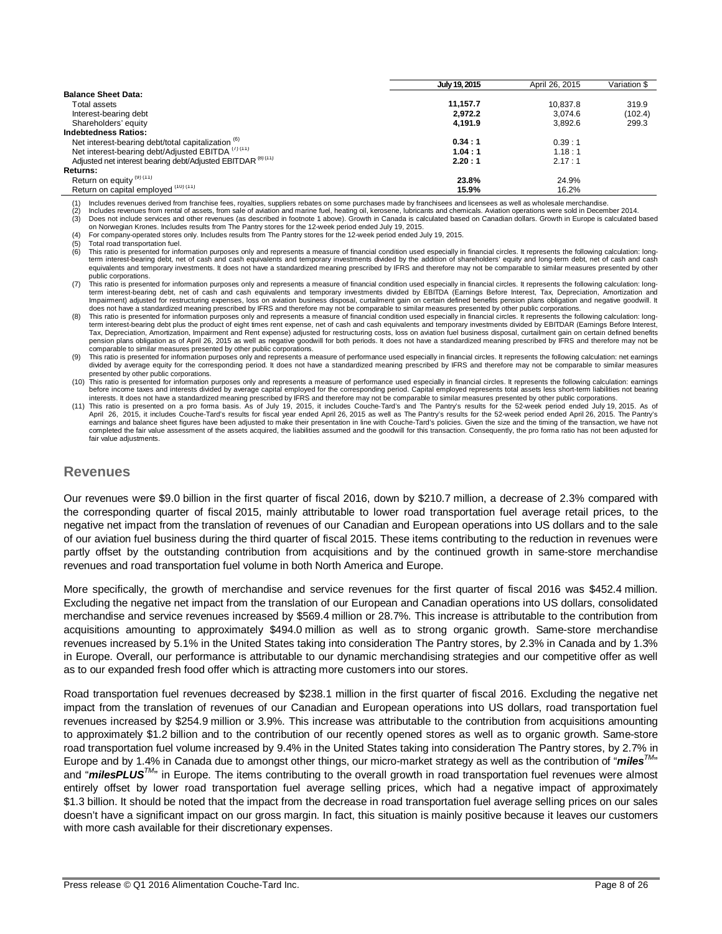|                                                                        | July 19, 2015 | April 26, 2015 | Variation \$ |
|------------------------------------------------------------------------|---------------|----------------|--------------|
| <b>Balance Sheet Data:</b>                                             |               |                |              |
| Total assets                                                           | 11.157.7      | 10.837.8       | 319.9        |
| Interest-bearing debt                                                  | 2.972.2       | 3.074.6        | (102.4)      |
| Shareholders' equity                                                   | 4.191.9       | 3.892.6        | 299.3        |
| <b>Indebtedness Ratios:</b>                                            |               |                |              |
| Net interest-bearing debt/total capitalization (6)                     | 0.34:1        | 0.39:1         |              |
| Net interest-bearing debt/Adjusted EBITDA <sup>(7)(11)</sup>           | 1.04:1        | 1.18:1         |              |
| Adjusted net interest bearing debt/Adjusted EBITDAR <sup>(8)(11)</sup> | 2.20:1        | 2.17:1         |              |
| <b>Returns:</b>                                                        |               |                |              |
| Return on equity <sup>(9)(11)</sup>                                    | 23.8%         | 24.9%          |              |
| Return on capital employed (10) (11)                                   | 15.9%         | 16.2%          |              |

(1) Includes revenues derived from franchise fees, royalties, suppliers rebates on some purchases made by franchisees and licensees as well as wholesale merchandise.<br>(2) Includes revenues from rental of assets, from sale o

(2) Includes revenues from rental of assets, from sale of aviation and marine fuel, heating oil, kerosene, lubricants and chemicals. Aviation operations were sold in December 2014.<br>(3) Does not include services and other r

Does not include services and other revenues (as described in footnote 1 above). Growth in Canada is calculated based on Canadian dollars. Growth in Europe is calculated based on Norwegian Krones. Includes results from The Pantry stores for the 12-week period ended July 19, 2015.

(5) Total road transportation fuel.<br>(6) This ratio is presented for inf

-6)) This ratio is presented for information purposes only and represents a measure of financial condition used especially in financial circles. It represents the following calculation: long-<br>term interest-bearing debt, ne equivalents and temporary investments. It does not have a standardized meaning prescribed by IFRS and therefore may not be comparable to similar measures presented by other

public corporations. (7) This ratio is presented for information purposes only and represents a measure of financial condition used especially in financial circles. It represents the following calculation: longterm interest-bearing debt, net of cash and cash equivalents and temporary investments divided by EBITDA (Earnings Before Interest, Tax, Depreciation, Amortization and Impairment) adjusted for restructuring expenses, loss on aviation business disposal, curtailment gain on certain defined benefits pension plans obligation and negative goodwill. It does not have a standardized meaning prescribed by IFRS and therefore may not be comparable to similar measures presented by other public corporations.

-8)) This ratio is presented for information purposes only and represents a measure of financial condition used especially in financial circles. It represents the following calculation: long-<br>term interest-bearing debt plu Tax, Depreciation, Amortization, Impairment and Rent expense) adjusted for restructuring costs, loss on aviation fuel business disposal, curtailment gain on certain defined benefits pension plans obligation as of April 26, 2015 as well as negative goodwill for both periods. It does not have a standardized meaning prescribed by IFRS and therefore may not be comparable to similar measures presented by other public corporations.

(9) This ratio is presented for information purposes only and represents a measure of performance used especially in financial circles. It represents the following calculation: net earnings divided by average equity for the corresponding period. It does not have a standardized meaning prescribed by IFRS and therefore may not be comparable to similar measures presented by other public corporations.

(10) This ratio is presented for information purposes only and represents a measure of performance used especially in financial circles. It represents the following calculation: earnings before income taxes and interests divided by average capital employed for the corresponding period. Capital employed represents total assets less short-tem liabilities not bearing<br>interests. It does not have a standardized

(11) This ratio is presented on a pro forma basis. As of July 19, 2015, it includes Couche-Tard's and The Pantry's results for the 52-week period ended July 19, 2015. As of April 26, 2015, it includes Couche-Tard's results for fiscal year ended April 26, 2015 as well as The Pantry's results for the 52-week period ended April 26, 2015. The Pantry's results for the 52-week period ended April 26 earnings and balance sheet figures have been adjusted to make their presentation in line with Couche-Tard's policies. Given the size and the timing of the transaction, we have not completed the fair value assessment of the assets acquired, the liabilities assumed and the goodwill for this transaction. Consequently, the pro forma ratio has not been adjusted for fair value adjustments.

## **Revenues**

Our revenues were \$9.0 billion in the first quarter of fiscal 2016, down by \$210.7 million, a decrease of 2.3% compared with the corresponding quarter of fiscal 2015, mainly attributable to lower road transportation fuel average retail prices, to the negative net impact from the translation of revenues of our Canadian and European operations into US dollars and to the sale of our aviation fuel business during the third quarter of fiscal 2015. These items contributing to the reduction in revenues were partly offset by the outstanding contribution from acquisitions and by the continued growth in same-store merchandise revenues and road transportation fuel volume in both North America and Europe.

More specifically, the growth of merchandise and service revenues for the first quarter of fiscal 2016 was \$452.4 million. Excluding the negative net impact from the translation of our European and Canadian operations into US dollars, consolidated merchandise and service revenues increased by \$569.4 million or 28.7%. This increase is attributable to the contribution from acquisitions amounting to approximately \$494.0 million as well as to strong organic growth. Same-store merchandise revenues increased by 5.1% in the United States taking into consideration The Pantry stores, by 2.3% in Canada and by 1.3% in Europe. Overall, our performance is attributable to our dynamic merchandising strategies and our competitive offer as well as to our expanded fresh food offer which is attracting more customers into our stores.

Road transportation fuel revenues decreased by \$238.1 million in the first quarter of fiscal 2016. Excluding the negative net impact from the translation of revenues of our Canadian and European operations into US dollars, road transportation fuel revenues increased by \$254.9 million or 3.9%. This increase was attributable to the contribution from acquisitions amounting to approximately \$1.2 billion and to the contribution of our recently opened stores as well as to organic growth. Same-store road transportation fuel volume increased by 9.4% in the United States taking into consideration The Pantry stores, by 2.7% in Europe and by 1.4% in Canada due to amongst other things, our micro-market strategy as well as the contribution of "*milesTM*" and "**milesPLUS**<sup>TM</sup>" in Europe. The items contributing to the overall growth in road transportation fuel revenues were almost entirely offset by lower road transportation fuel average selling prices, which had a negative impact of approximately \$1.3 billion. It should be noted that the impact from the decrease in road transportation fuel average selling prices on our sales doesn't have a significant impact on our gross margin. In fact, this situation is mainly positive because it leaves our customers with more cash available for their discretionary expenses.

<sup>(4)</sup> For company-operated stores only. Includes results from The Pantry stores for the 12-week period ended July 19, 2015.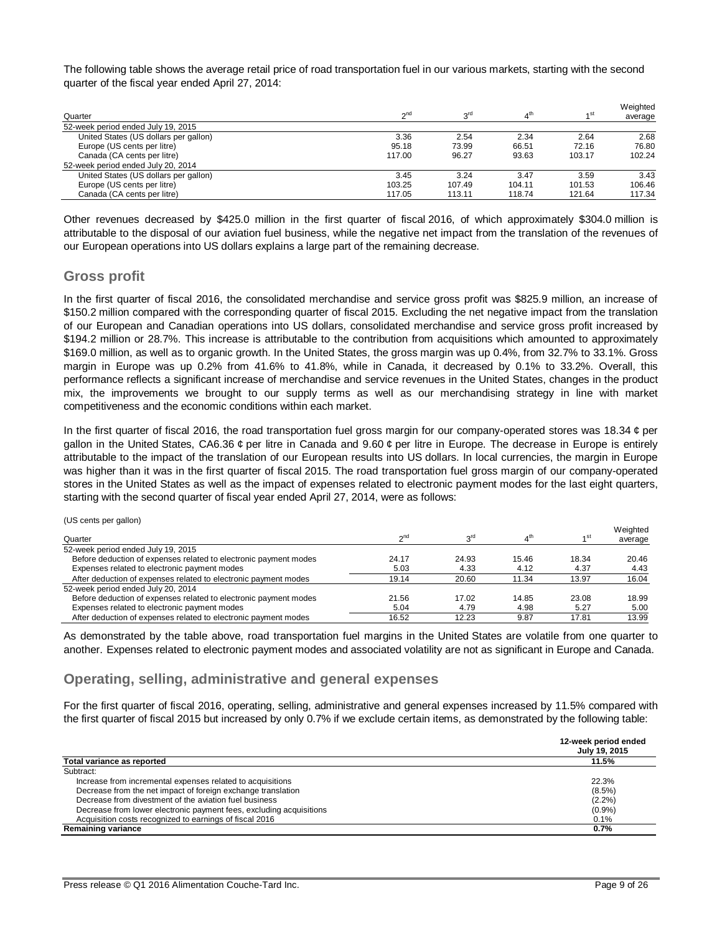The following table shows the average retail price of road transportation fuel in our various markets, starting with the second quarter of the fiscal year ended April 27, 2014:

| Quarter                               | $\lambda$ <sup>nd</sup> | ∽rd    | $4^{\text{th}}$ | ⊿ st   | Weighted<br>average |
|---------------------------------------|-------------------------|--------|-----------------|--------|---------------------|
| 52-week period ended July 19, 2015    |                         |        |                 |        |                     |
| United States (US dollars per gallon) | 3.36                    | 2.54   | 2.34            | 2.64   | 2.68                |
| Europe (US cents per litre)           | 95.18                   | 73.99  | 66.51           | 72.16  | 76.80               |
| Canada (CA cents per litre)           | 117.00                  | 96.27  | 93.63           | 103.17 | 102.24              |
| 52-week period ended July 20, 2014    |                         |        |                 |        |                     |
| United States (US dollars per gallon) | 3.45                    | 3.24   | 3.47            | 3.59   | 3.43                |
| Europe (US cents per litre)           | 103.25                  | 107.49 | 104.11          | 101.53 | 106.46              |
| Canada (CA cents per litre)           | 117.05                  | 113.11 | 118.74          | 121.64 | 117.34              |

Other revenues decreased by \$425.0 million in the first quarter of fiscal 2016, of which approximately \$304.0 million is attributable to the disposal of our aviation fuel business, while the negative net impact from the translation of the revenues of our European operations into US dollars explains a large part of the remaining decrease.

# **Gross profit**

In the first quarter of fiscal 2016, the consolidated merchandise and service gross profit was \$825.9 million, an increase of \$150.2 million compared with the corresponding quarter of fiscal 2015. Excluding the net negative impact from the translation of our European and Canadian operations into US dollars, consolidated merchandise and service gross profit increased by \$194.2 million or 28.7%. This increase is attributable to the contribution from acquisitions which amounted to approximately \$169.0 million, as well as to organic growth. In the United States, the gross margin was up 0.4%, from 32.7% to 33.1%. Gross margin in Europe was up 0.2% from 41.6% to 41.8%, while in Canada, it decreased by 0.1% to 33.2%. Overall, this performance reflects a significant increase of merchandise and service revenues in the United States, changes in the product mix, the improvements we brought to our supply terms as well as our merchandising strategy in line with market competitiveness and the economic conditions within each market.

In the first quarter of fiscal 2016, the road transportation fuel gross margin for our company-operated stores was 18.34  $\varphi$  per gallon in the United States, CA6.36 ¢ per litre in Canada and 9.60 ¢ per litre in Europe. The decrease in Europe is entirely attributable to the impact of the translation of our European results into US dollars. In local currencies, the margin in Europe was higher than it was in the first quarter of fiscal 2015. The road transportation fuel gross margin of our company-operated stores in the United States as well as the impact of expenses related to electronic payment modes for the last eight quarters, starting with the second quarter of fiscal year ended April 27, 2014, were as follows:

#### (US cents per gallon)

|                                                                  |                 |       |       |                  | Weighted |
|------------------------------------------------------------------|-----------------|-------|-------|------------------|----------|
| Quarter                                                          | n <sup>nc</sup> | rd د  |       | $\overline{A}$ S | average  |
| 52-week period ended July 19, 2015                               |                 |       |       |                  |          |
| Before deduction of expenses related to electronic payment modes | 24.17           | 24.93 | 15.46 | 18.34            | 20.46    |
| Expenses related to electronic payment modes                     | 5.03            | 4.33  | 4.12  | 4.37             | 4.43     |
| After deduction of expenses related to electronic payment modes  | 19.14           | 20.60 | 11.34 | 13.97            | 16.04    |
| 52-week period ended July 20, 2014                               |                 |       |       |                  |          |
| Before deduction of expenses related to electronic payment modes | 21.56           | 17.02 | 14.85 | 23.08            | 18.99    |
| Expenses related to electronic payment modes                     | 5.04            | 4.79  | 4.98  | 5.27             | 5.00     |
| After deduction of expenses related to electronic payment modes  | 16.52           | 12.23 | 9.87  | 17.81            | 13.99    |

As demonstrated by the table above, road transportation fuel margins in the United States are volatile from one quarter to another. Expenses related to electronic payment modes and associated volatility are not as significant in Europe and Canada.

## **Operating, selling, administrative and general expenses**

For the first quarter of fiscal 2016, operating, selling, administrative and general expenses increased by 11.5% compared with the first quarter of fiscal 2015 but increased by only 0.7% if we exclude certain items, as demonstrated by the following table:

|                                                                     | 12-week period ended<br>July 19, 2015 |
|---------------------------------------------------------------------|---------------------------------------|
| Total variance as reported                                          | 11.5%                                 |
| Subtract:                                                           |                                       |
| Increase from incremental expenses related to acquisitions          | 22.3%                                 |
| Decrease from the net impact of foreign exchange translation        | $(8.5\%)$                             |
| Decrease from divestment of the aviation fuel business              | (2.2%)                                |
| Decrease from lower electronic payment fees, excluding acquisitions | (0.9%                                 |
| Acquisition costs recognized to earnings of fiscal 2016             | 0.1%                                  |
| <b>Remaining variance</b>                                           | 0.7%                                  |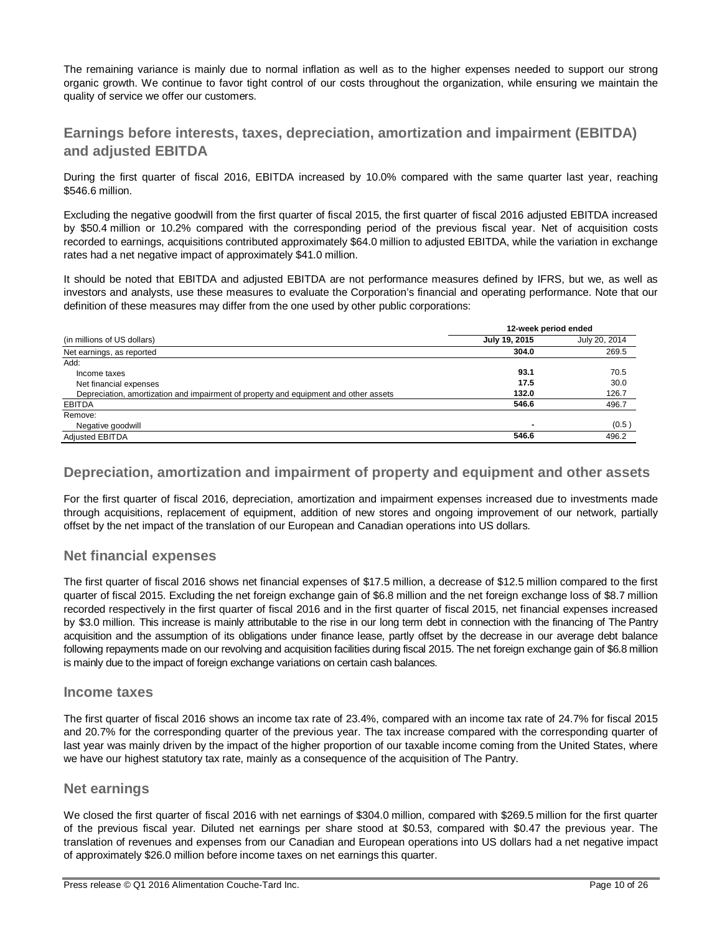The remaining variance is mainly due to normal inflation as well as to the higher expenses needed to support our strong organic growth. We continue to favor tight control of our costs throughout the organization, while ensuring we maintain the quality of service we offer our customers.

**Earnings before interests, taxes, depreciation, amortization and impairment (EBITDA) and adjusted EBITDA**

During the first quarter of fiscal 2016, EBITDA increased by 10.0% compared with the same quarter last year, reaching \$546.6 million.

Excluding the negative goodwill from the first quarter of fiscal 2015, the first quarter of fiscal 2016 adjusted EBITDA increased by \$50.4 million or 10.2% compared with the corresponding period of the previous fiscal year. Net of acquisition costs recorded to earnings, acquisitions contributed approximately \$64.0 million to adjusted EBITDA, while the variation in exchange rates had a net negative impact of approximately \$41.0 million.

It should be noted that EBITDA and adjusted EBITDA are not performance measures defined by IFRS, but we, as well as investors and analysts, use these measures to evaluate the Corporation's financial and operating performance. Note that our definition of these measures may differ from the one used by other public corporations:

|                                                                                      | 12-week period ended |               |  |
|--------------------------------------------------------------------------------------|----------------------|---------------|--|
| (in millions of US dollars)                                                          | July 19, 2015        | July 20, 2014 |  |
| Net earnings, as reported                                                            | 304.0                | 269.5         |  |
| Add:                                                                                 |                      |               |  |
| Income taxes                                                                         | 93.1                 | 70.5          |  |
| Net financial expenses                                                               | 17.5                 | 30.0          |  |
| Depreciation, amortization and impairment of property and equipment and other assets | 132.0                | 126.7         |  |
| <b>EBITDA</b>                                                                        | 546.6                | 496.7         |  |
| Remove:                                                                              |                      |               |  |
| Negative goodwill                                                                    |                      | (0.5)         |  |
| <b>Adjusted EBITDA</b>                                                               | 546.6                | 496.2         |  |

# **Depreciation, amortization and impairment of property and equipment and other assets**

For the first quarter of fiscal 2016, depreciation, amortization and impairment expenses increased due to investments made through acquisitions, replacement of equipment, addition of new stores and ongoing improvement of our network, partially offset by the net impact of the translation of our European and Canadian operations into US dollars.

## **Net financial expenses**

The first quarter of fiscal 2016 shows net financial expenses of \$17.5 million, a decrease of \$12.5 million compared to the first quarter of fiscal 2015. Excluding the net foreign exchange gain of \$6.8 million and the net foreign exchange loss of \$8.7 million recorded respectively in the first quarter of fiscal 2016 and in the first quarter of fiscal 2015, net financial expenses increased by \$3.0 million. This increase is mainly attributable to the rise in our long term debt in connection with the financing of The Pantry acquisition and the assumption of its obligations under finance lease, partly offset by the decrease in our average debt balance following repayments made on our revolving and acquisition facilities during fiscal 2015. The net foreign exchange gain of \$6.8 million is mainly due to the impact of foreign exchange variations on certain cash balances.

## **Income taxes**

The first quarter of fiscal 2016 shows an income tax rate of 23.4%, compared with an income tax rate of 24.7% for fiscal 2015 and 20.7% for the corresponding quarter of the previous year. The tax increase compared with the corresponding quarter of last year was mainly driven by the impact of the higher proportion of our taxable income coming from the United States, where we have our highest statutory tax rate, mainly as a consequence of the acquisition of The Pantry.

## **Net earnings**

We closed the first quarter of fiscal 2016 with net earnings of \$304.0 million, compared with \$269.5 million for the first quarter of the previous fiscal year. Diluted net earnings per share stood at \$0.53, compared with \$0.47 the previous year. The translation of revenues and expenses from our Canadian and European operations into US dollars had a net negative impact of approximately \$26.0 million before income taxes on net earnings this quarter.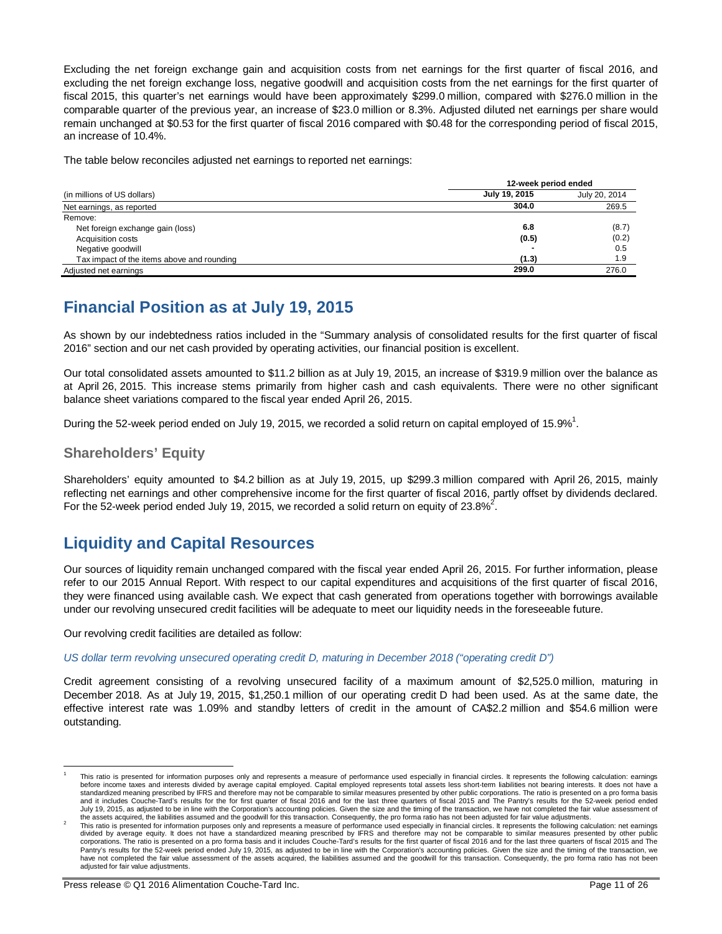Excluding the net foreign exchange gain and acquisition costs from net earnings for the first quarter of fiscal 2016, and excluding the net foreign exchange loss, negative goodwill and acquisition costs from the net earnings for the first quarter of fiscal 2015, this quarter's net earnings would have been approximately \$299.0 million, compared with \$276.0 million in the comparable quarter of the previous year, an increase of \$23.0 million or 8.3%. Adjusted diluted net earnings per share would remain unchanged at \$0.53 for the first quarter of fiscal 2016 compared with \$0.48 for the corresponding period of fiscal 2015, an increase of 10.4%.

The table below reconciles adjusted net earnings to reported net earnings:

|                                            |               | 12-week period ended |  |  |
|--------------------------------------------|---------------|----------------------|--|--|
| (in millions of US dollars)                | July 19, 2015 | July 20, 2014        |  |  |
| Net earnings, as reported                  | 304.0         | 269.5                |  |  |
| Remove:                                    |               |                      |  |  |
| Net foreign exchange gain (loss)           | 6.8           | (8.7)                |  |  |
| <b>Acquisition costs</b>                   | (0.5)         | (0.2)                |  |  |
| Negative goodwill                          |               | 0.5                  |  |  |
| Tax impact of the items above and rounding | (1.3)         | 1.9                  |  |  |
| Adjusted net earnings                      | 299.0         | 276.0                |  |  |

# **Financial Position as at July 19, 2015**

As shown by our indebtedness ratios included in the "Summary analysis of consolidated results for the first quarter of fiscal 2016" section and our net cash provided by operating activities, our financial position is excellent.

Our total consolidated assets amounted to \$11.2 billion as at July 19, 2015, an increase of \$319.9 million over the balance as at April 26, 2015. This increase stems primarily from higher cash and cash equivalents. There were no other significant balance sheet variations compared to the fiscal year ended April 26, 2015.

During the 52-week period ended on July 19, 2015, we recorded a solid return on capital employed of 15.9%<sup>1</sup>.

# **Shareholders' Equity**

 $\overline{a}$ 

Shareholders' equity amounted to \$4.2 billion as at July 19, 2015, up \$299.3 million compared with April 26, 2015, mainly reflecting net earnings and other comprehensive income for the first quarter of fiscal 2016, partly offset by dividends declared. For the 52-week period ended July 19, 2015, we recorded a solid return on equity of 23.8%<sup>2</sup>.

# **Liquidity and Capital Resources**

Our sources of liquidity remain unchanged compared with the fiscal year ended April 26, 2015. For further information, please refer to our 2015 Annual Report. With respect to our capital expenditures and acquisitions of the first quarter of fiscal 2016, they were financed using available cash. We expect that cash generated from operations together with borrowings available under our revolving unsecured credit facilities will be adequate to meet our liquidity needs in the foreseeable future.

Our revolving credit facilities are detailed as follow:

*US dollar term revolving unsecured operating credit D, maturing in December 2018 ("operating credit D")*

Credit agreement consisting of a revolving unsecured facility of a maximum amount of \$2,525.0 million, maturing in December 2018. As at July 19, 2015, \$1,250.1 million of our operating credit D had been used. As at the same date, the effective interest rate was 1.09% and standby letters of credit in the amount of CA\$2.2 million and \$54.6 million were outstanding.

<sup>1</sup> This ratio is presented for information purposes only and represents a measure of performance used especially in financial circles. It represents the following calculation: earnings before income taxes and interests divided by average capital employed. Capital employed represents total assets less short-term liabilities not bearing interests. It does not have a standardized meaning prescribed by IFRS and therefore may not be comparable to similar measures presented by other public corporations. The ratio is presented on a pro forma basis<br>and it includes Couche-Tard's results for July 19, 2015, as adjusted to be in line with the Corporation's accounting policies. Given the size and the timing of the transaction, we have not completed the fair value assessment of

the assets acquired, the liabilities assumed and the goodwill for this transaction. Consequently, the pro forma ratio has not been adjusted for fair value adjustments.<br>This ratio is presented for information purposes only 2 divided by average equity. It does not have a standardized meaning prescribed by IFRS and therefore may not be comparable to similar measures presented by other public corporations. The ratio is presented on a pro forma basis and it includes Couche-Tard's results for the first quarter of fiscal 2016 and for the last three quarters of fiscal 2015 and The<br>Pantry's results for the 52-week p have not completed the fair value assessment of the assets acquired, the liabilities assumed and the goodwill for this transaction. Consequently, the pro forma ratio has not been adiusted for fair value adiustments.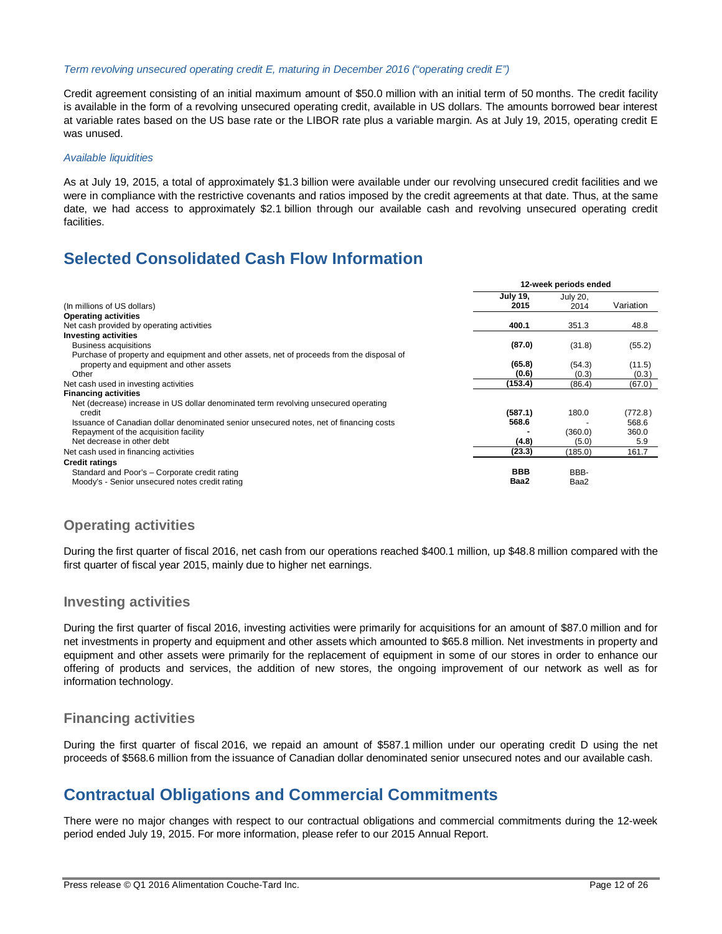#### *Term revolving unsecured operating credit E, maturing in December 2016 ("operating credit E")*

Credit agreement consisting of an initial maximum amount of \$50.0 million with an initial term of 50 months. The credit facility is available in the form of a revolving unsecured operating credit, available in US dollars. The amounts borrowed bear interest at variable rates based on the US base rate or the LIBOR rate plus a variable margin. As at July 19, 2015, operating credit E was unused.

#### *Available liquidities*

As at July 19, 2015, a total of approximately \$1.3 billion were available under our revolving unsecured credit facilities and we were in compliance with the restrictive covenants and ratios imposed by the credit agreements at that date. Thus, at the same date, we had access to approximately \$2.1 billion through our available cash and revolving unsecured operating credit facilities.

# **Selected Consolidated Cash Flow Information**

|                                                                                           | 12-week periods ended   |                  |           |
|-------------------------------------------------------------------------------------------|-------------------------|------------------|-----------|
| (In millions of US dollars)                                                               | <b>July 19,</b><br>2015 | July 20,<br>2014 | Variation |
| <b>Operating activities</b>                                                               |                         |                  |           |
| Net cash provided by operating activities                                                 | 400.1                   | 351.3            | 48.8      |
| <b>Investing activities</b>                                                               |                         |                  |           |
| Business acquisitions                                                                     | (87.0)                  | (31.8)           | (55.2)    |
| Purchase of property and equipment and other assets, net of proceeds from the disposal of |                         |                  |           |
| property and equipment and other assets                                                   | (65.8)                  | (54.3)           | (11.5)    |
| Other                                                                                     | (0.6)                   | (0.3)            | (0.3)     |
| Net cash used in investing activities                                                     | (153.4)                 | (86.4)           | (67.0)    |
| <b>Financing activities</b>                                                               |                         |                  |           |
| Net (decrease) increase in US dollar denominated term revolving unsecured operating       |                         |                  |           |
| credit                                                                                    | (587.1)                 | 180.0            | (772.8)   |
| Issuance of Canadian dollar denominated senior unsecured notes, net of financing costs    | 568.6                   |                  | 568.6     |
| Repayment of the acquisition facility                                                     |                         | (360.0)          | 360.0     |
| Net decrease in other debt                                                                | (4.8)                   | (5.0)            | 5.9       |
| Net cash used in financing activities                                                     | (23.3)                  | (185.0)          | 161.7     |
| <b>Credit ratings</b>                                                                     |                         |                  |           |
| Standard and Poor's - Corporate credit rating                                             | <b>BBB</b>              | BBB-             |           |
| Moody's - Senior unsecured notes credit rating                                            | Baa2                    | Baa2             |           |

## **Operating activities**

During the first quarter of fiscal 2016, net cash from our operations reached \$400.1 million, up \$48.8 million compared with the first quarter of fiscal year 2015, mainly due to higher net earnings.

## **Investing activities**

During the first quarter of fiscal 2016, investing activities were primarily for acquisitions for an amount of \$87.0 million and for net investments in property and equipment and other assets which amounted to \$65.8 million. Net investments in property and equipment and other assets were primarily for the replacement of equipment in some of our stores in order to enhance our offering of products and services, the addition of new stores, the ongoing improvement of our network as well as for information technology.

## **Financing activities**

During the first quarter of fiscal 2016, we repaid an amount of \$587.1 million under our operating credit D using the net proceeds of \$568.6 million from the issuance of Canadian dollar denominated senior unsecured notes and our available cash.

# **Contractual Obligations and Commercial Commitments**

There were no major changes with respect to our contractual obligations and commercial commitments during the 12-week period ended July 19, 2015. For more information, please refer to our 2015 Annual Report.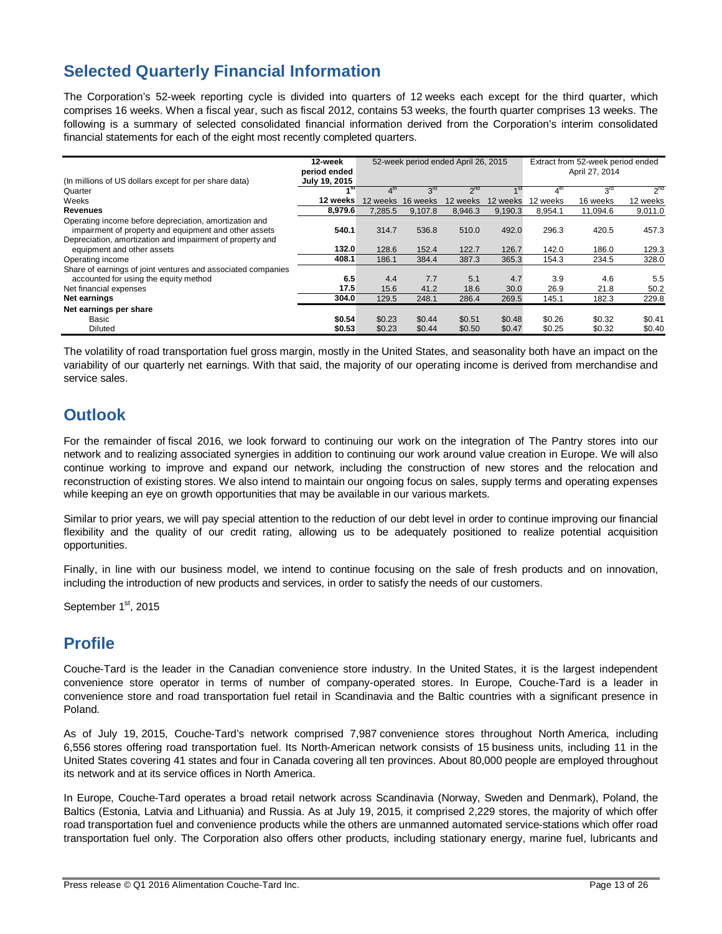# **Selected Quarterly Financial Information**

The Corporation's 52-week reporting cycle is divided into quarters of 12 weeks each except for the third quarter, which comprises 16 weeks. When a fiscal year, such as fiscal 2012, contains 53 weeks, the fourth quarter comprises 13 weeks. The following is a summary of selected consolidated financial information derived from the Corporation's interim consolidated financial statements for each of the eight most recently completed quarters.

| (In millions of US dollars except for per share data)                                                           | 12-week<br>period ended<br>July 19, 2015 | 52-week period ended April 26, 2015 |                 |          | Extract from 52-week period ended<br>April 27, 2014 |          |                 |          |
|-----------------------------------------------------------------------------------------------------------------|------------------------------------------|-------------------------------------|-----------------|----------|-----------------------------------------------------|----------|-----------------|----------|
| Quarter                                                                                                         | ⊿ St                                     |                                     | $3^{\text{ra}}$ | $2^{nq}$ |                                                     |          | $3^{\text{rd}}$ | $2^{nd}$ |
| Weeks                                                                                                           | 12 weeks                                 | 12 weeks                            | 16 weeks        | 12 weeks | 12 weeks                                            | 12 weeks | 16 weeks        | 12 weeks |
| <b>Revenues</b>                                                                                                 | 8.979.6                                  | 7.285.5                             | 9,107.8         | 8.946.3  | 9,190.3                                             | 8.954.1  | 11.094.6        | 9,011.0  |
| Operating income before depreciation, amortization and<br>impairment of property and equipment and other assets | 540.1                                    | 314.7                               | 536.8           | 510.0    | 492.0                                               | 296.3    | 420.5           | 457.3    |
| Depreciation, amortization and impairment of property and<br>equipment and other assets                         | 132.0                                    | 128.6                               | 152.4           | 122.7    | 126.7                                               | 142.0    | 186.0           | 129.3    |
| Operating income                                                                                                | 408.1                                    | 186.1                               | 384.4           | 387.3    | 365.3                                               | 154.3    | 234.5           | 328.0    |
| Share of earnings of joint ventures and associated companies<br>accounted for using the equity method           | 6.5                                      | 4.4                                 | 7.7             | 5.1      | 4.7                                                 | 3.9      | 4.6             | 5.5      |
| Net financial expenses                                                                                          | 17.5                                     | 15.6                                | 41.2            | 18.6     | 30.0                                                | 26.9     | 21.8            | 50.2     |
| Net earnings                                                                                                    | 304.0                                    | 129.5                               | 248.1           | 286.4    | 269.5                                               | 145.1    | 182.3           | 229.8    |
| Net earnings per share                                                                                          |                                          |                                     |                 |          |                                                     |          |                 |          |
| Basic                                                                                                           | \$0.54                                   | \$0.23                              | \$0.44          | \$0.51   | \$0.48                                              | \$0.26   | \$0.32          | \$0.41   |
| <b>Diluted</b>                                                                                                  | \$0.53                                   | \$0.23                              | \$0.44          | \$0.50   | \$0.47                                              | \$0.25   | \$0.32          | \$0.40   |

The volatility of road transportation fuel gross margin, mostly in the United States, and seasonality both have an impact on the variability of our quarterly net earnings. With that said, the majority of our operating income is derived from merchandise and service sales.

# **Outlook**

For the remainder of fiscal 2016, we look forward to continuing our work on the integration of The Pantry stores into our network and to realizing associated synergies in addition to continuing our work around value creation in Europe. We will also continue working to improve and expand our network, including the construction of new stores and the relocation and reconstruction of existing stores. We also intend to maintain our ongoing focus on sales, supply terms and operating expenses while keeping an eye on growth opportunities that may be available in our various markets.

Similar to prior years, we will pay special attention to the reduction of our debt level in order to continue improving our financial flexibility and the quality of our credit rating, allowing us to be adequately positioned to realize potential acquisition opportunities.

Finally, in line with our business model, we intend to continue focusing on the sale of fresh products and on innovation, including the introduction of new products and services, in order to satisfy the needs of our customers.

September 1st, 2015

# **Profile**

Couche-Tard is the leader in the Canadian convenience store industry. In the United States, it is the largest independent convenience store operator in terms of number of company-operated stores. In Europe, Couche-Tard is a leader in convenience store and road transportation fuel retail in Scandinavia and the Baltic countries with a significant presence in Poland.

As of July 19, 2015, Couche-Tard's network comprised 7,987 convenience stores throughout North America, including 6,556 stores offering road transportation fuel. Its North-American network consists of 15 business units, including 11 in the United States covering 41 states and four in Canada covering all ten provinces. About 80,000 people are employed throughout its network and at its service offices in North America.

In Europe, Couche-Tard operates a broad retail network across Scandinavia (Norway, Sweden and Denmark), Poland, the Baltics (Estonia, Latvia and Lithuania) and Russia. As at July 19, 2015, it comprised 2,229 stores, the majority of which offer road transportation fuel and convenience products while the others are unmanned automated service-stations which offer road transportation fuel only. The Corporation also offers other products, including stationary energy, marine fuel, lubricants and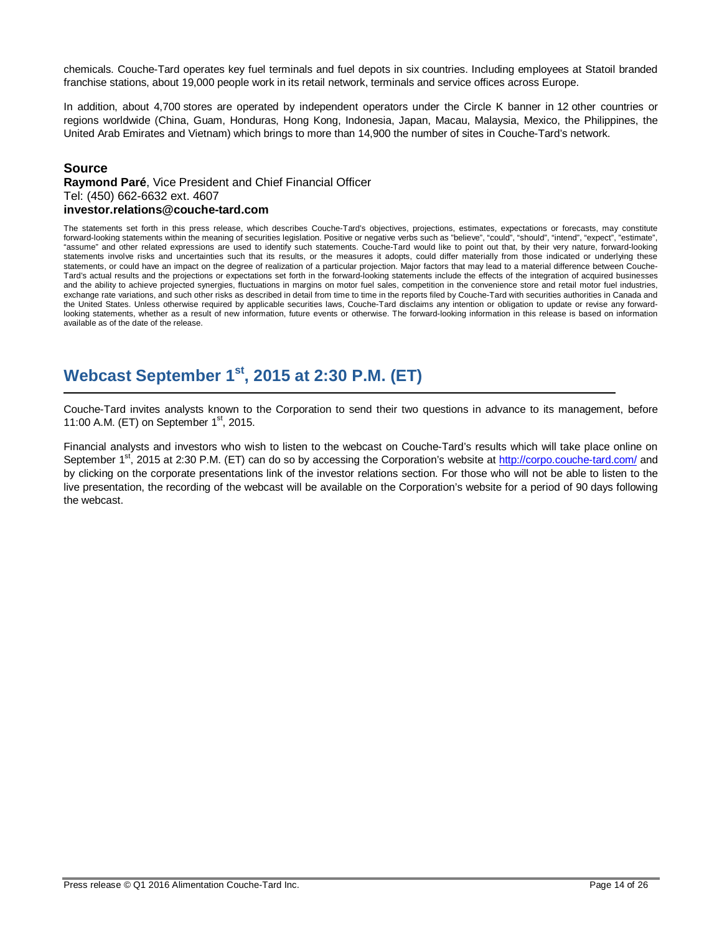chemicals. Couche-Tard operates key fuel terminals and fuel depots in six countries. Including employees at Statoil branded franchise stations, about 19,000 people work in its retail network, terminals and service offices across Europe.

In addition, about 4,700 stores are operated by independent operators under the Circle K banner in 12 other countries or regions worldwide (China, Guam, Honduras, Hong Kong, Indonesia, Japan, Macau, Malaysia, Mexico, the Philippines, the United Arab Emirates and Vietnam) which brings to more than 14,900 the number of sites in Couche-Tard's network.

## **Source**

#### **Raymond Paré**, Vice President and Chief Financial Officer Tel: (450) 662-6632 ext. 4607 **investor.relations@couche-tard.com**

The statements set forth in this press release, which describes Couche-Tard's objectives, projections, estimates, expectations or forecasts, may constitute forward-looking statements within the meaning of securities legislation. Positive or negative verbs such as "believe", "could", "should", "intend", "expect", "estimate", "assume" and other related expressions are used to identify such statements. Couche-Tard would like to point out that, by their very nature, forward-looking statements involve risks and uncertainties such that its results, or the measures it adopts, could differ materially from those indicated or underlying these statements, or could have an impact on the degree of realization of a particular projection. Major factors that may lead to a material difference between Couche-Tard's actual results and the projections or expectations set forth in the forward-looking statements include the effects of the integration of acquired businesses and the ability to achieve projected synergies, fluctuations in margins on motor fuel sales, competition in the convenience store and retail motor fuel industries, exchange rate variations, and such other risks as described in detail from time to time in the reports filed by Couche-Tard with securities authorities in Canada and the United States. Unless otherwise required by applicable securities laws, Couche-Tard disclaims any intention or obligation to update or revise any forwardlooking statements, whether as a result of new information, future events or otherwise. The forward-looking information in this release is based on information available as of the date of the release.

# **Webcast September 1st, 2015 at 2:30 P.M. (ET)**

Couche-Tard invites analysts known to the Corporation to send their two questions in advance to its management, before 11:00 A.M. (ET) on September  $1<sup>st</sup>$ , 2015.

Financial analysts and investors who wish to listen to the webcast on Couche-Tard's results which will take place online on September 1<sup>st</sup>, 2015 at 2:30 P.M. (ET) can do so by accessing the Corporation's website at http://corpo.couche-tard.com/ and by clicking on the corporate presentations link of the investor relations section. For those who will not be able to listen to the live presentation, the recording of the webcast will be available on the Corporation's website for a period of 90 days following the webcast.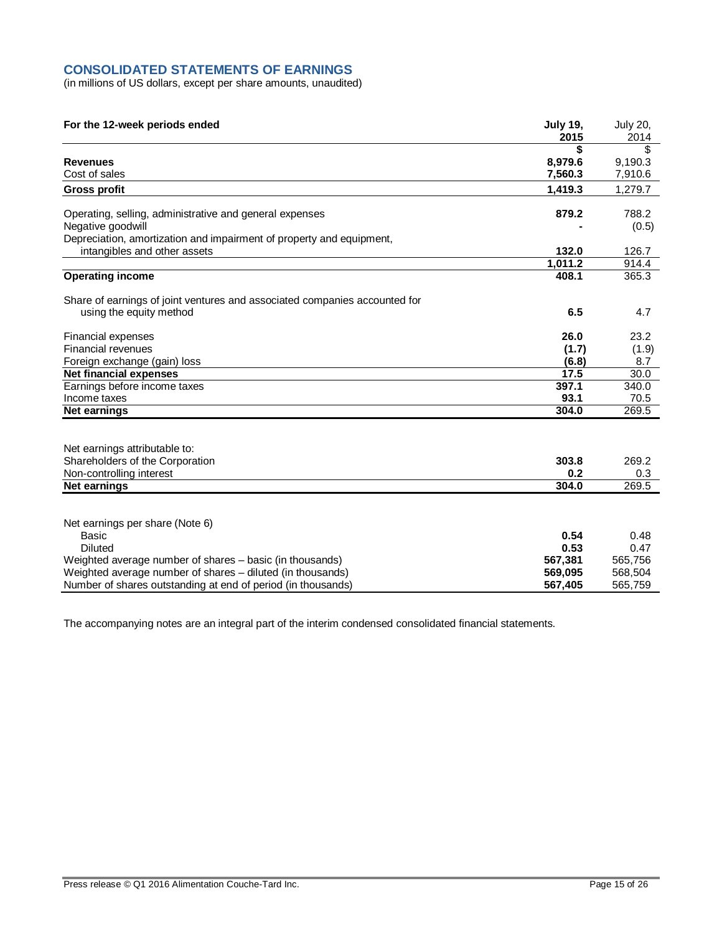# **CONSOLIDATED STATEMENTS OF EARNINGS**

(in millions of US dollars, except per share amounts, unaudited)

| For the 12-week periods ended                                                | <b>July 19,</b> | <b>July 20,</b> |
|------------------------------------------------------------------------------|-----------------|-----------------|
|                                                                              | 2015<br>\$      | 2014<br>\$      |
| <b>Revenues</b>                                                              | 8,979.6         | 9,190.3         |
| Cost of sales                                                                | 7,560.3         | 7,910.6         |
| <b>Gross profit</b>                                                          | 1,419.3         | 1,279.7         |
|                                                                              | 879.2           | 788.2           |
| Operating, selling, administrative and general expenses<br>Negative goodwill |                 | (0.5)           |
| Depreciation, amortization and impairment of property and equipment,         |                 |                 |
| intangibles and other assets                                                 | 132.0           | 126.7           |
|                                                                              | 1,011.2         | 914.4           |
| <b>Operating income</b>                                                      | 408.1           | 365.3           |
| Share of earnings of joint ventures and associated companies accounted for   |                 |                 |
| using the equity method                                                      | 6.5             | 4.7             |
| <b>Financial expenses</b>                                                    | 26.0            | 23.2            |
| Financial revenues                                                           | (1.7)           | (1.9)           |
| Foreign exchange (gain) loss                                                 | (6.8)           | 8.7             |
| <b>Net financial expenses</b>                                                | 17.5            | 30.0            |
| Earnings before income taxes                                                 | 397.1           | 340.0           |
| Income taxes                                                                 | 93.1            | 70.5            |
| <b>Net earnings</b>                                                          | 304.0           | 269.5           |
|                                                                              |                 |                 |
| Net earnings attributable to:<br>Shareholders of the Corporation             | 303.8           | 269.2           |
| Non-controlling interest                                                     | 0.2             | 0.3             |
| <b>Net earnings</b>                                                          | 304.0           | 269.5           |
|                                                                              |                 |                 |
| Net earnings per share (Note 6)                                              |                 |                 |
| <b>Basic</b>                                                                 | 0.54            | 0.48            |
| <b>Diluted</b>                                                               | 0.53            | 0.47            |
| Weighted average number of shares - basic (in thousands)                     | 567,381         | 565,756         |
| Weighted average number of shares - diluted (in thousands)                   | 569,095         | 568,504         |
| Number of shares outstanding at end of period (in thousands)                 | 567,405         | 565,759         |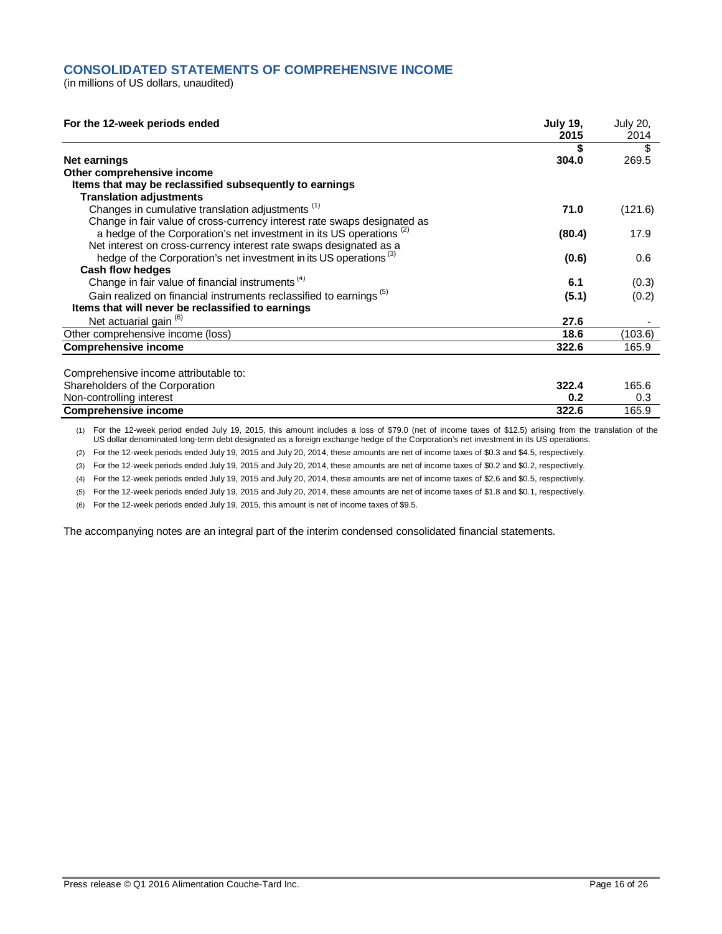## **CONSOLIDATED STATEMENTS OF COMPREHENSIVE INCOME**

(in millions of US dollars, unaudited)

| For the 12-week periods ended                                                  | <b>July 19,</b><br>2015 | <b>July 20,</b><br>2014 |
|--------------------------------------------------------------------------------|-------------------------|-------------------------|
|                                                                                |                         | \$                      |
| Net earnings                                                                   | 304.0                   | 269.5                   |
| Other comprehensive income                                                     |                         |                         |
| Items that may be reclassified subsequently to earnings                        |                         |                         |
| <b>Translation adjustments</b>                                                 |                         |                         |
| Changes in cumulative translation adjustments <sup>(1)</sup>                   | 71.0                    | (121.6)                 |
| Change in fair value of cross-currency interest rate swaps designated as       |                         |                         |
| a hedge of the Corporation's net investment in its US operations $(2)$         | (80.4)                  | 17.9                    |
| Net interest on cross-currency interest rate swaps designated as a             |                         |                         |
| hedge of the Corporation's net investment in its US operations <sup>(3)</sup>  | (0.6)                   | 0.6                     |
| <b>Cash flow hedges</b>                                                        |                         |                         |
| Change in fair value of financial instruments <sup>(4)</sup>                   | 6.1                     | (0.3)                   |
| Gain realized on financial instruments reclassified to earnings <sup>(5)</sup> | (5.1)                   | (0.2)                   |
| Items that will never be reclassified to earnings                              |                         |                         |
| Net actuarial gain <sup>(6)</sup>                                              | 27.6                    |                         |
| Other comprehensive income (loss)                                              | 18.6                    | (103.6)                 |
| <b>Comprehensive income</b>                                                    | 322.6                   | 165.9                   |
|                                                                                |                         |                         |
| Comprehensive income attributable to:                                          |                         |                         |
| Shareholders of the Corporation                                                | 322.4                   | 165.6                   |
| Non-controlling interest                                                       | 0.2                     | 0.3                     |
| <b>Comprehensive income</b>                                                    | 322.6                   | 165.9                   |

1) For the 12-week period ended July 19, 2015, this amount includes a loss of \$79.0 (net of income taxes of \$12.5) arising from the translation of the<br>US dollar denominated long-term debt designated as a foreign exchange h

(2) For the 12-week periods ended July 19, 2015 and July 20, 2014, these amounts are net of income taxes of \$0.3 and \$4.5, respectively.

(3) For the 12-week periods ended July 19, 2015 and July 20, 2014, these amounts are net of income taxes of \$0.2 and \$0.2, respectively.

(4) For the 12-week periods ended July 19, 2015 and July 20, 2014, these amounts are net of income taxes of \$2.6 and \$0.5, respectively.

(5) For the 12-week periods ended July 19, 2015 and July 20, 2014, these amounts are net of income taxes of \$1.8 and \$0.1, respectively.

(6) For the 12-week periods ended July 19, 2015, this amount is net of income taxes of \$9.5.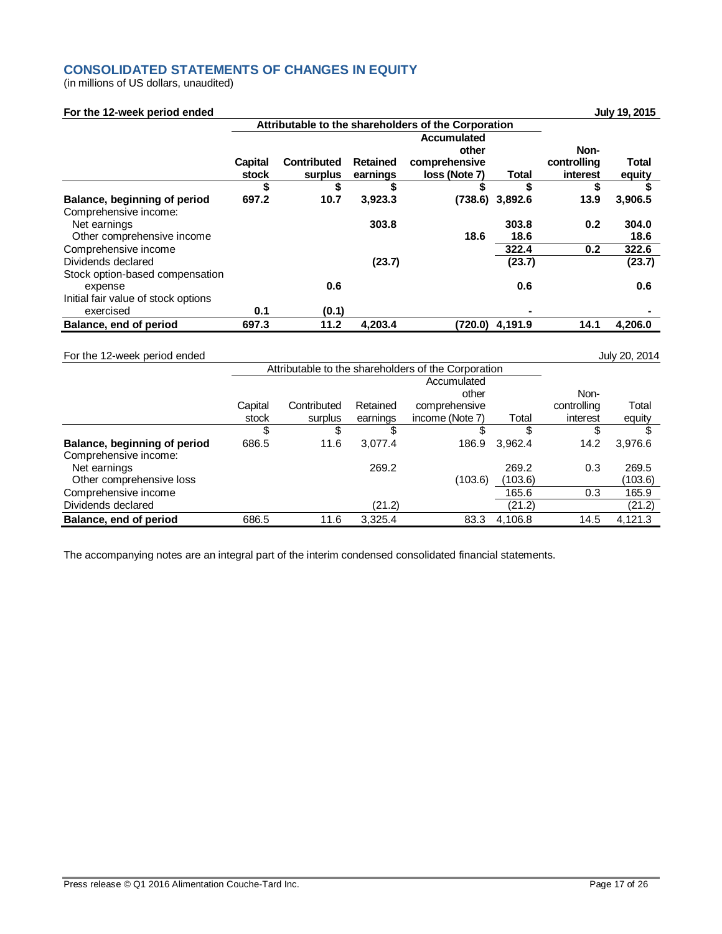## **CONSOLIDATED STATEMENTS OF CHANGES IN EQUITY**

(in millions of US dollars, unaudited)

### **For the 12-week period ended July 19, 2015**

|                                                                     | Attributable to the shareholders of the Corporation |                    |                 |                                       |                   |                     |               |
|---------------------------------------------------------------------|-----------------------------------------------------|--------------------|-----------------|---------------------------------------|-------------------|---------------------|---------------|
|                                                                     | Capital                                             | <b>Contributed</b> | <b>Retained</b> | Accumulated<br>other<br>comprehensive |                   | Non-<br>controlling | <b>Total</b>  |
|                                                                     | stock                                               | surplus            | earnings        | loss (Note 7)                         | <b>Total</b>      | interest            | equity        |
|                                                                     | S                                                   | \$                 |                 | S                                     | S                 |                     |               |
| Balance, beginning of period                                        | 697.2                                               | 10.7               | 3,923.3         | (738.6)                               | 3,892.6           | 13.9                | 3,906.5       |
| Comprehensive income:<br>Net earnings<br>Other comprehensive income |                                                     |                    | 303.8           | 18.6                                  | 303.8<br>18.6     | 0.2                 | 304.0<br>18.6 |
| Comprehensive income                                                |                                                     |                    |                 |                                       | 322.4             | 0.2                 | 322.6         |
| Dividends declared<br>Stock option-based compensation               |                                                     |                    | (23.7)          |                                       | (23.7)            |                     | (23.7)        |
| expense                                                             |                                                     | 0.6                |                 |                                       | 0.6               |                     | 0.6           |
| Initial fair value of stock options<br>exercised                    | 0.1                                                 | (0.1)              |                 |                                       |                   |                     |               |
| Balance, end of period                                              | 697.3                                               | 11.2               | 4,203.4         |                                       | $(720.0)$ 4,191.9 | 14.1                | 4,206.0       |

### For the 12-week period ended July 20, 2014

|                              | Attributable to the shareholders of the Corporation |             |          |                 |         |             |         |
|------------------------------|-----------------------------------------------------|-------------|----------|-----------------|---------|-------------|---------|
|                              |                                                     |             |          | Accumulated     |         |             |         |
|                              |                                                     |             |          | other           |         | Non-        |         |
|                              | Capital                                             | Contributed | Retained | comprehensive   |         | controlling | Total   |
|                              | stock                                               | surplus     | earnings | income (Note 7) | Total   | interest    | equity  |
|                              |                                                     |             |          |                 |         |             |         |
| Balance, beginning of period | 686.5                                               | 11.6        | 3,077.4  | 186.9           | 3,962.4 | 14.2        | 3,976.6 |
| Comprehensive income:        |                                                     |             |          |                 |         |             |         |
| Net earnings                 |                                                     |             | 269.2    |                 | 269.2   | 0.3         | 269.5   |
| Other comprehensive loss     |                                                     |             |          | (103.6)         | (103.6) |             | (103.6) |
| Comprehensive income         |                                                     |             |          |                 | 165.6   | 0.3         | 165.9   |
| Dividends declared           |                                                     |             | (21.2)   |                 | (21.2)  |             | (21.2)  |
| Balance, end of period       | 686.5                                               | 11.6        | 3,325.4  | 83.3            | 4,106.8 | 14.5        | 4,121.3 |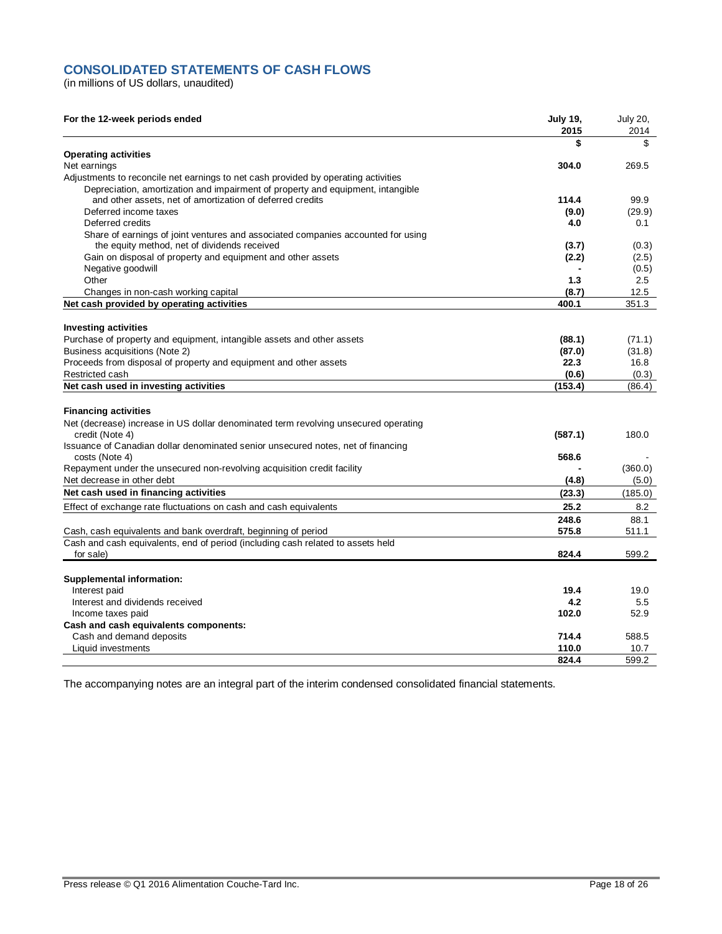# **CONSOLIDATED STATEMENTS OF CASH FLOWS**

(in millions of US dollars, unaudited)

| For the 12-week periods ended                                                                                                    | <b>July 19,</b><br>2015 | <b>July 20,</b><br>2014 |
|----------------------------------------------------------------------------------------------------------------------------------|-------------------------|-------------------------|
|                                                                                                                                  | \$                      | \$                      |
| <b>Operating activities</b>                                                                                                      |                         |                         |
| Net earnings                                                                                                                     | 304.0                   | 269.5                   |
| Adjustments to reconcile net earnings to net cash provided by operating activities                                               |                         |                         |
| Depreciation, amortization and impairment of property and equipment, intangible                                                  |                         |                         |
| and other assets, net of amortization of deferred credits                                                                        | 114.4                   | 99.9                    |
| Deferred income taxes                                                                                                            | (9.0)                   | (29.9)                  |
| Deferred credits                                                                                                                 | 4.0                     | 0.1                     |
| Share of earnings of joint ventures and associated companies accounted for using<br>the equity method, net of dividends received |                         |                         |
|                                                                                                                                  | (3.7)                   | (0.3)                   |
| Gain on disposal of property and equipment and other assets                                                                      | (2.2)                   | (2.5)                   |
| Negative goodwill<br>Other                                                                                                       | 1.3                     | (0.5)<br>2.5            |
|                                                                                                                                  | (8.7)                   | 12.5                    |
| Changes in non-cash working capital<br>Net cash provided by operating activities                                                 | 400.1                   | 351.3                   |
|                                                                                                                                  |                         |                         |
| <b>Investing activities</b>                                                                                                      |                         |                         |
| Purchase of property and equipment, intangible assets and other assets                                                           | (88.1)                  | (71.1)                  |
| Business acquisitions (Note 2)                                                                                                   | (87.0)                  | (31.8)                  |
| Proceeds from disposal of property and equipment and other assets                                                                | 22.3                    | 16.8                    |
| Restricted cash                                                                                                                  | (0.6)                   | (0.3)                   |
| Net cash used in investing activities                                                                                            | (153.4)                 | (86.4)                  |
| <b>Financing activities</b>                                                                                                      |                         |                         |
| Net (decrease) increase in US dollar denominated term revolving unsecured operating                                              |                         |                         |
| credit (Note 4)                                                                                                                  | (587.1)                 | 180.0                   |
| Issuance of Canadian dollar denominated senior unsecured notes, net of financing                                                 |                         |                         |
| costs (Note 4)                                                                                                                   | 568.6                   |                         |
| Repayment under the unsecured non-revolving acquisition credit facility                                                          |                         | (360.0)                 |
| Net decrease in other debt                                                                                                       | (4.8)                   | (5.0)                   |
| Net cash used in financing activities                                                                                            | (23.3)                  | (185.0)                 |
| Effect of exchange rate fluctuations on cash and cash equivalents                                                                | 25.2                    | 8.2                     |
|                                                                                                                                  | 248.6                   | 88.1                    |
| Cash, cash equivalents and bank overdraft, beginning of period                                                                   | 575.8                   | 511.1                   |
| Cash and cash equivalents, end of period (including cash related to assets held<br>for sale)                                     | 824.4                   | 599.2                   |
|                                                                                                                                  |                         |                         |
| <b>Supplemental information:</b>                                                                                                 |                         |                         |
| Interest paid                                                                                                                    | 19.4                    | 19.0                    |
| Interest and dividends received                                                                                                  | 4.2                     | 5.5                     |
| Income taxes paid                                                                                                                | 102.0                   | 52.9                    |
| Cash and cash equivalents components:                                                                                            |                         |                         |
| Cash and demand deposits                                                                                                         | 714.4                   | 588.5                   |
| Liquid investments                                                                                                               | 110.0                   | 10.7                    |
|                                                                                                                                  | 824.4                   | 599.2                   |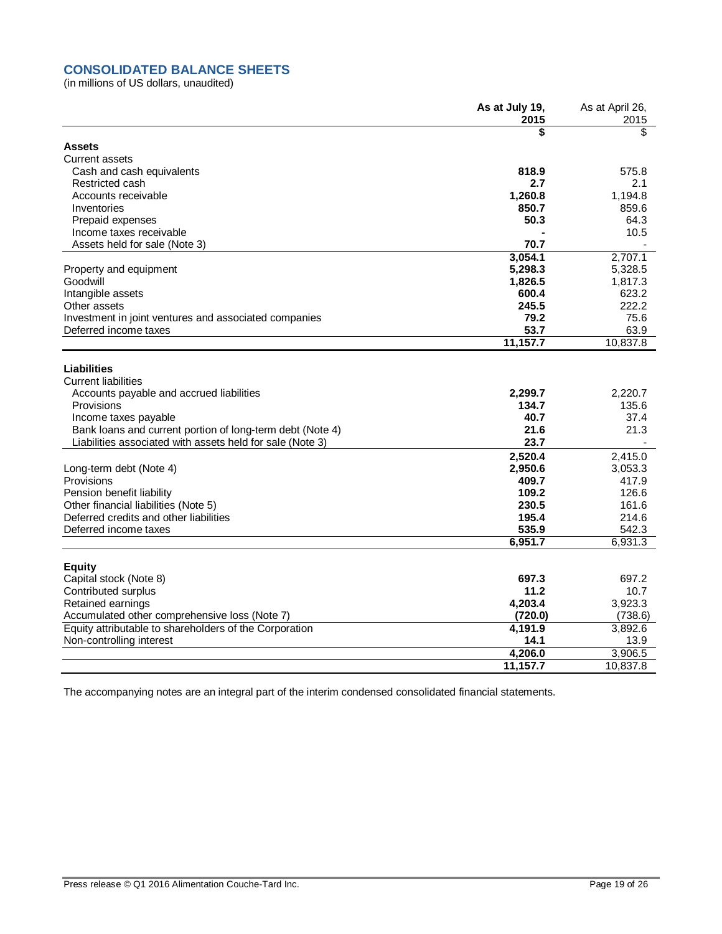# **CONSOLIDATED BALANCE SHEETS**

(in millions of US dollars, unaudited)

|                                                           | As at July 19, | As at April 26, |
|-----------------------------------------------------------|----------------|-----------------|
|                                                           | 2015           | 2015<br>\$      |
|                                                           |                |                 |
| <b>Assets</b>                                             |                |                 |
| <b>Current assets</b>                                     |                |                 |
| Cash and cash equivalents                                 | 818.9          | 575.8           |
| Restricted cash                                           | 2.7            | 2.1             |
| Accounts receivable                                       | 1,260.8        | 1,194.8         |
| Inventories                                               | 850.7          | 859.6           |
| Prepaid expenses                                          | 50.3           | 64.3            |
| Income taxes receivable                                   |                | 10.5            |
| Assets held for sale (Note 3)                             | 70.7           |                 |
|                                                           | 3,054.1        | 2,707.1         |
| Property and equipment                                    | 5,298.3        | 5,328.5         |
| Goodwill                                                  | 1,826.5        | 1,817.3         |
| Intangible assets                                         | 600.4          | 623.2           |
| Other assets                                              | 245.5          | 222.2           |
| Investment in joint ventures and associated companies     | 79.2           | 75.6            |
| Deferred income taxes                                     | 53.7           | 63.9            |
|                                                           | 11,157.7       | 10,837.8        |
|                                                           |                |                 |
| Liabilities                                               |                |                 |
| <b>Current liabilities</b>                                |                |                 |
| Accounts payable and accrued liabilities                  | 2,299.7        | 2,220.7         |
| Provisions                                                | 134.7          | 135.6           |
| Income taxes payable                                      | 40.7           | 37.4            |
| Bank loans and current portion of long-term debt (Note 4) | 21.6           | 21.3            |
| Liabilities associated with assets held for sale (Note 3) | 23.7           |                 |
|                                                           | 2,520.4        |                 |
|                                                           |                | 2,415.0         |
| Long-term debt (Note 4)                                   | 2,950.6        | 3,053.3         |
| Provisions                                                | 409.7          | 417.9           |
| Pension benefit liability                                 | 109.2          | 126.6           |
| Other financial liabilities (Note 5)                      | 230.5          | 161.6           |
| Deferred credits and other liabilities                    | 195.4          | 214.6           |
| Deferred income taxes                                     | 535.9          | 542.3           |
|                                                           | 6,951.7        | 6,931.3         |
|                                                           |                |                 |
| <b>Equity</b>                                             |                |                 |
| Capital stock (Note 8)                                    | 697.3          | 697.2           |
| Contributed surplus                                       | 11.2           | 10.7            |
| Retained earnings                                         | 4,203.4        | 3,923.3         |
| Accumulated other comprehensive loss (Note 7)             | (720.0)        | (738.6)         |
| Equity attributable to shareholders of the Corporation    | 4,191.9        | 3,892.6         |
| Non-controlling interest                                  | 14.1           | 13.9            |
|                                                           | 4,206.0        | 3,906.5         |
|                                                           | 11,157.7       | 10,837.8        |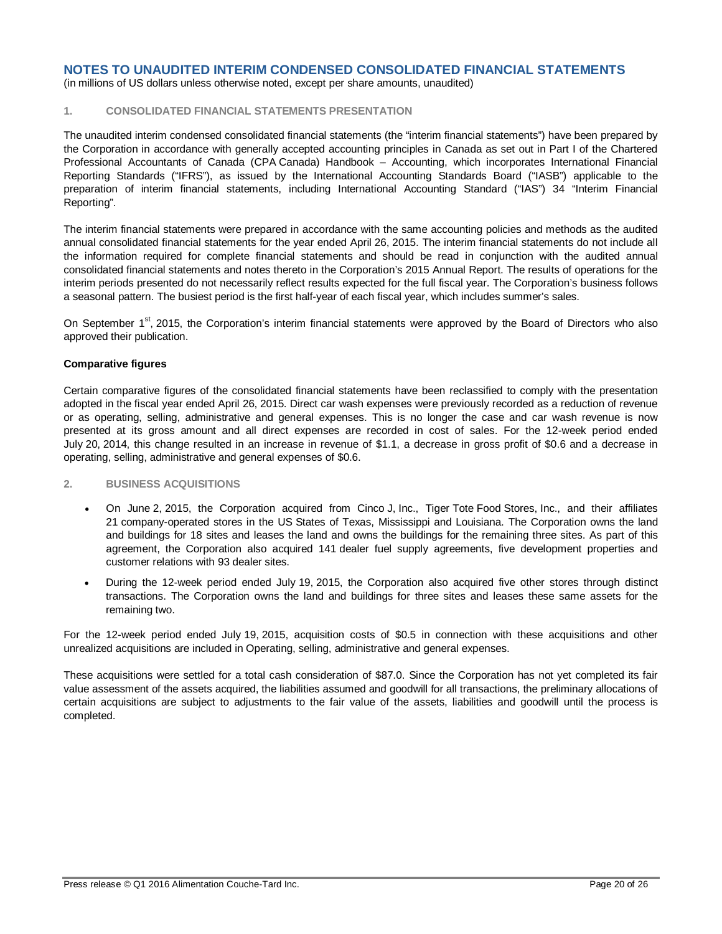(in millions of US dollars unless otherwise noted, except per share amounts, unaudited)

### **1. CONSOLIDATED FINANCIAL STATEMENTS PRESENTATION**

The unaudited interim condensed consolidated financial statements (the "interim financial statements") have been prepared by the Corporation in accordance with generally accepted accounting principles in Canada as set out in Part I of the Chartered Professional Accountants of Canada (CPA Canada) Handbook – Accounting, which incorporates International Financial Reporting Standards ("IFRS"), as issued by the International Accounting Standards Board ("IASB") applicable to the preparation of interim financial statements, including International Accounting Standard ("IAS") 34 "Interim Financial Reporting".

The interim financial statements were prepared in accordance with the same accounting policies and methods as the audited annual consolidated financial statements for the year ended April 26, 2015. The interim financial statements do not include all the information required for complete financial statements and should be read in conjunction with the audited annual consolidated financial statements and notes thereto in the Corporation's 2015 Annual Report. The results of operations for the interim periods presented do not necessarily reflect results expected for the full fiscal year. The Corporation's business follows a seasonal pattern. The busiest period is the first half-year of each fiscal year, which includes summer's sales.

On September 1<sup>st</sup>, 2015, the Corporation's interim financial statements were approved by the Board of Directors who also approved their publication.

### **Comparative figures**

Certain comparative figures of the consolidated financial statements have been reclassified to comply with the presentation adopted in the fiscal year ended April 26, 2015. Direct car wash expenses were previously recorded as a reduction of revenue or as operating, selling, administrative and general expenses. This is no longer the case and car wash revenue is now presented at its gross amount and all direct expenses are recorded in cost of sales. For the 12-week period ended July 20, 2014, this change resulted in an increase in revenue of \$1.1, a decrease in gross profit of \$0.6 and a decrease in operating, selling, administrative and general expenses of \$0.6.

#### **2. BUSINESS ACQUISITIONS**

- On June 2, 2015, the Corporation acquired from Cinco J, Inc., Tiger Tote Food Stores, Inc., and their affiliates 21 company-operated stores in the US States of Texas, Mississippi and Louisiana. The Corporation owns the land and buildings for 18 sites and leases the land and owns the buildings for the remaining three sites. As part of this agreement, the Corporation also acquired 141 dealer fuel supply agreements, five development properties and customer relations with 93 dealer sites.
- During the 12-week period ended July 19, 2015, the Corporation also acquired five other stores through distinct transactions. The Corporation owns the land and buildings for three sites and leases these same assets for the remaining two.

For the 12-week period ended July 19, 2015, acquisition costs of \$0.5 in connection with these acquisitions and other unrealized acquisitions are included in Operating, selling, administrative and general expenses.

These acquisitions were settled for a total cash consideration of \$87.0. Since the Corporation has not yet completed its fair value assessment of the assets acquired, the liabilities assumed and goodwill for all transactions, the preliminary allocations of certain acquisitions are subject to adjustments to the fair value of the assets, liabilities and goodwill until the process is completed.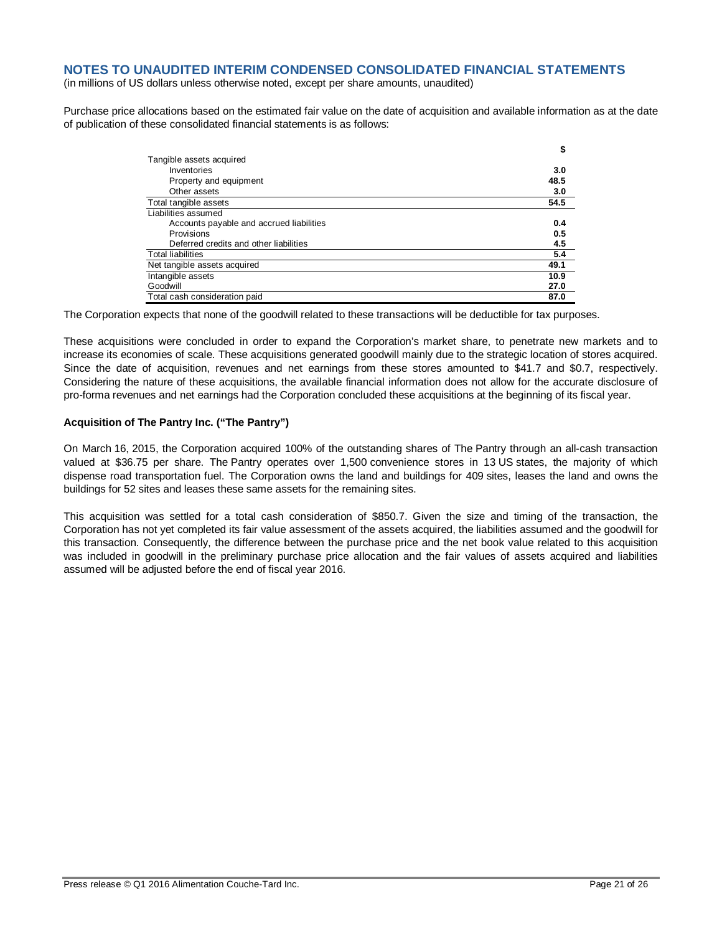(in millions of US dollars unless otherwise noted, except per share amounts, unaudited)

Purchase price allocations based on the estimated fair value on the date of acquisition and available information as at the date of publication of these consolidated financial statements is as follows:

|                                          | \$   |
|------------------------------------------|------|
| Tangible assets acquired                 |      |
| Inventories                              | 3.0  |
| Property and equipment                   | 48.5 |
| Other assets                             | 3.0  |
| Total tangible assets                    | 54.5 |
| Liabilities assumed                      |      |
| Accounts payable and accrued liabilities | 0.4  |
| Provisions                               | 0.5  |
| Deferred credits and other liabilities   | 4.5  |
| <b>Total liabilities</b>                 | 5.4  |
| Net tangible assets acquired             | 49.1 |
| Intangible assets                        | 10.9 |
| Goodwill                                 | 27.0 |
| Total cash consideration paid            | 87.0 |

The Corporation expects that none of the goodwill related to these transactions will be deductible for tax purposes.

These acquisitions were concluded in order to expand the Corporation's market share, to penetrate new markets and to increase its economies of scale. These acquisitions generated goodwill mainly due to the strategic location of stores acquired. Since the date of acquisition, revenues and net earnings from these stores amounted to \$41.7 and \$0.7, respectively. Considering the nature of these acquisitions, the available financial information does not allow for the accurate disclosure of pro-forma revenues and net earnings had the Corporation concluded these acquisitions at the beginning of its fiscal year.

### **Acquisition of The Pantry Inc. ("The Pantry")**

On March 16, 2015, the Corporation acquired 100% of the outstanding shares of The Pantry through an all-cash transaction valued at \$36.75 per share. The Pantry operates over 1,500 convenience stores in 13 US states, the majority of which dispense road transportation fuel. The Corporation owns the land and buildings for 409 sites, leases the land and owns the buildings for 52 sites and leases these same assets for the remaining sites.

This acquisition was settled for a total cash consideration of \$850.7. Given the size and timing of the transaction, the Corporation has not yet completed its fair value assessment of the assets acquired, the liabilities assumed and the goodwill for this transaction. Consequently, the difference between the purchase price and the net book value related to this acquisition was included in goodwill in the preliminary purchase price allocation and the fair values of assets acquired and liabilities assumed will be adjusted before the end of fiscal year 2016.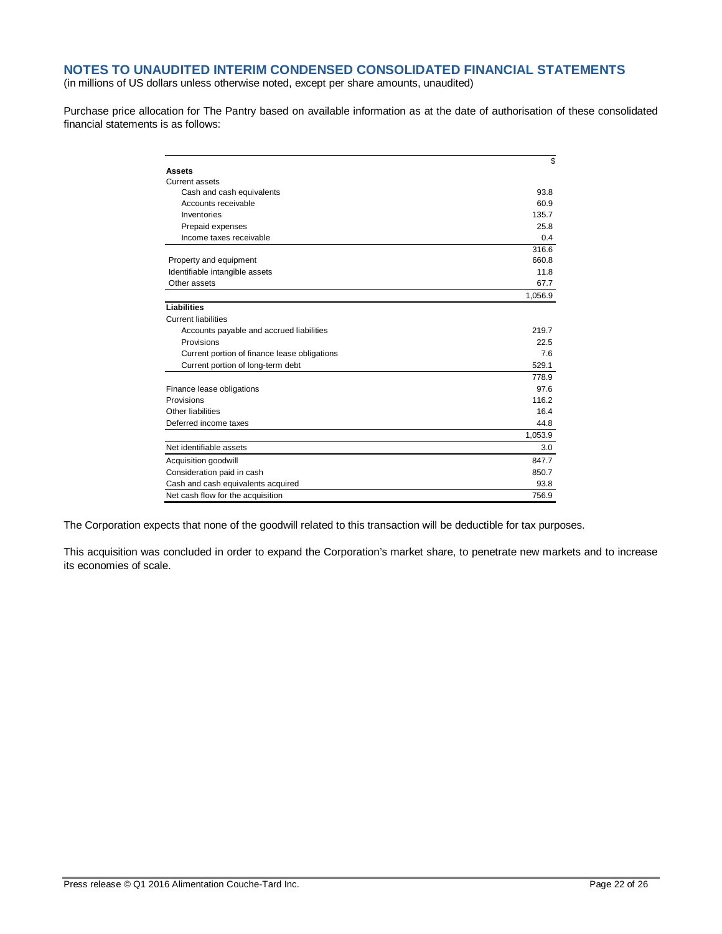(in millions of US dollars unless otherwise noted, except per share amounts, unaudited)

Purchase price allocation for The Pantry based on available information as at the date of authorisation of these consolidated financial statements is as follows:

|                                              | \$      |
|----------------------------------------------|---------|
| <b>Assets</b>                                |         |
| Current assets                               |         |
| Cash and cash equivalents                    | 93.8    |
| Accounts receivable                          | 60.9    |
| Inventories                                  | 135.7   |
| Prepaid expenses                             | 25.8    |
| Income taxes receivable                      | 0.4     |
|                                              | 316.6   |
| Property and equipment                       | 660.8   |
| Identifiable intangible assets               | 11.8    |
| Other assets                                 | 67.7    |
|                                              | 1,056.9 |
| Liabilities                                  |         |
| <b>Current liabilities</b>                   |         |
| Accounts payable and accrued liabilities     | 219.7   |
| Provisions                                   | 22.5    |
| Current portion of finance lease obligations | 76      |
| Current portion of long-term debt            | 529.1   |
|                                              | 778.9   |
| Finance lease obligations                    | 97.6    |
| Provisions                                   | 116.2   |
| Other liabilities                            | 16.4    |
| Deferred income taxes                        | 44.8    |
|                                              | 1,053.9 |
| Net identifiable assets                      | 3.0     |
| Acquisition goodwill                         | 847.7   |
| Consideration paid in cash                   | 850.7   |
| Cash and cash equivalents acquired           | 93.8    |
| Net cash flow for the acquisition            | 756.9   |

The Corporation expects that none of the goodwill related to this transaction will be deductible for tax purposes.

This acquisition was concluded in order to expand the Corporation's market share, to penetrate new markets and to increase its economies of scale.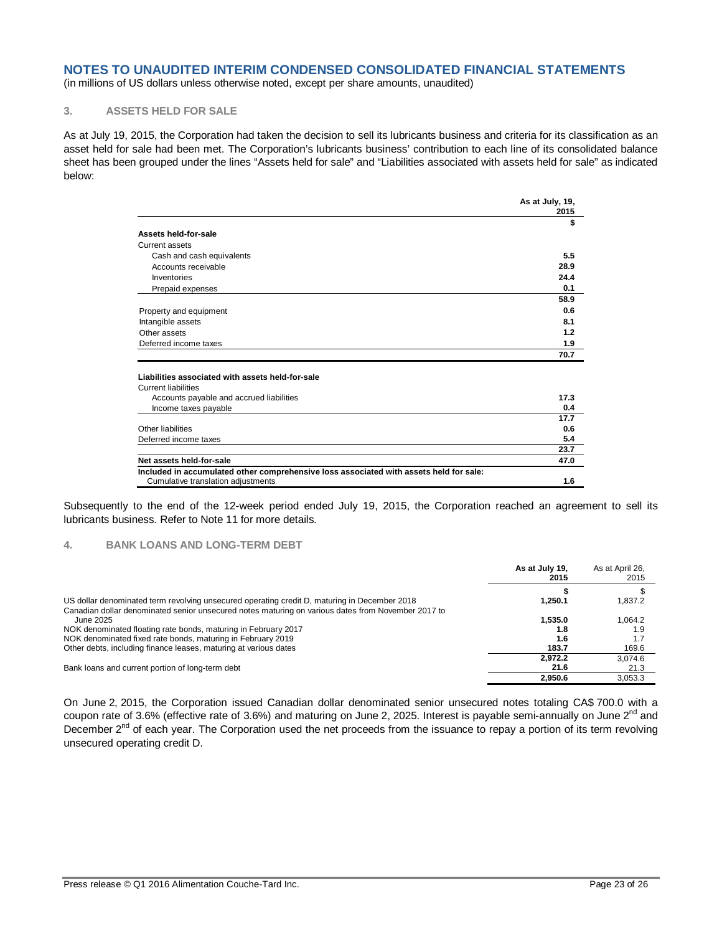(in millions of US dollars unless otherwise noted, except per share amounts, unaudited)

### **3. ASSETS HELD FOR SALE**

As at July 19, 2015, the Corporation had taken the decision to sell its lubricants business and criteria for its classification as an asset held for sale had been met. The Corporation's lubricants business' contribution to each line of its consolidated balance sheet has been grouped under the lines "Assets held for sale" and "Liabilities associated with assets held for sale" as indicated below:

|                                                                                        | As at July, 19,<br>2015 |
|----------------------------------------------------------------------------------------|-------------------------|
|                                                                                        | \$                      |
| Assets held-for-sale                                                                   |                         |
| Current assets                                                                         |                         |
| Cash and cash equivalents                                                              | 5.5                     |
| Accounts receivable                                                                    | 28.9                    |
| Inventories                                                                            | 24.4                    |
| Prepaid expenses                                                                       | 0.1                     |
|                                                                                        | 58.9                    |
| Property and equipment                                                                 | 0.6                     |
| Intangible assets                                                                      | 8.1                     |
| Other assets                                                                           | 1.2                     |
| Deferred income taxes                                                                  | 1.9                     |
|                                                                                        | 70.7                    |
| Liabilities associated with assets held-for-sale                                       |                         |
| <b>Current liabilities</b>                                                             |                         |
| Accounts payable and accrued liabilities                                               | 17.3                    |
| Income taxes payable                                                                   | 0.4                     |
|                                                                                        | 17.7                    |
| Other liabilities                                                                      | 0.6                     |
| Deferred income taxes                                                                  | 5.4                     |
|                                                                                        | 23.7                    |
| Net assets held-for-sale                                                               | 47.0                    |
| Included in accumulated other comprehensive loss associated with assets held for sale: |                         |
| Cumulative translation adjustments                                                     | 1.6                     |

Subsequently to the end of the 12-week period ended July 19, 2015, the Corporation reached an agreement to sell its lubricants business. Refer to Note 11 for more details.

#### **4. BANK LOANS AND LONG-TERM DEBT**

|                                                                                                                                                                                                    | As at July 19,<br>2015 | As at April 26,<br>2015 |
|----------------------------------------------------------------------------------------------------------------------------------------------------------------------------------------------------|------------------------|-------------------------|
|                                                                                                                                                                                                    |                        |                         |
| US dollar denominated term revolving unsecured operating credit D, maturing in December 2018<br>Canadian dollar denominated senior unsecured notes maturing on various dates from November 2017 to | 1.250.1                | 1,837.2                 |
| June 2025                                                                                                                                                                                          | 1,535.0                | 1,064.2                 |
| NOK denominated floating rate bonds, maturing in February 2017                                                                                                                                     | 1.8                    | 1.9                     |
| NOK denominated fixed rate bonds, maturing in February 2019                                                                                                                                        | 1.6                    |                         |
| Other debts, including finance leases, maturing at various dates                                                                                                                                   | 183.7                  | 169.6                   |
|                                                                                                                                                                                                    | 2.972.2                | 3.074.6                 |
| Bank loans and current portion of long-term debt                                                                                                                                                   | 21.6                   | 21.3                    |
|                                                                                                                                                                                                    | 2.950.6                | 3.053.3                 |

On June 2, 2015, the Corporation issued Canadian dollar denominated senior unsecured notes totaling CA\$ 700.0 with a coupon rate of 3.6% (effective rate of 3.6%) and maturing on June 2, 2025. Interest is payable semi-annually on June 2<sup>nd</sup> and December 2<sup>nd</sup> of each year. The Corporation used the net proceeds from the issuance to repay a portion of its term revolving unsecured operating credit D.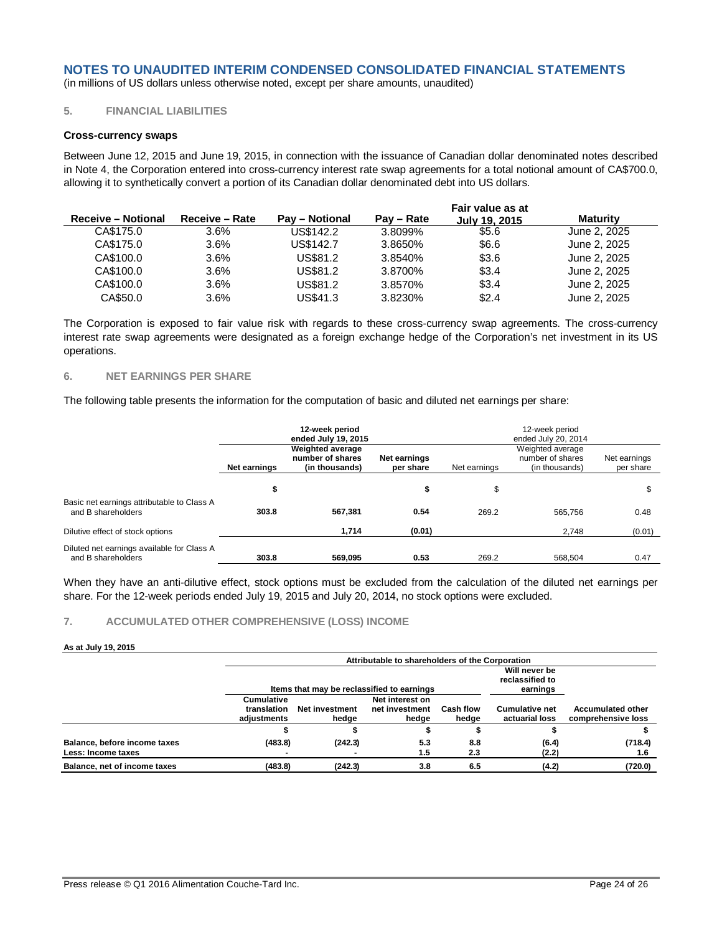(in millions of US dollars unless otherwise noted, except per share amounts, unaudited)

## **5. FINANCIAL LIABILITIES**

### **Cross-currency swaps**

Between June 12, 2015 and June 19, 2015, in connection with the issuance of Canadian dollar denominated notes described in Note 4, the Corporation entered into cross-currency interest rate swap agreements for a total notional amount of CA\$700.0, allowing it to synthetically convert a portion of its Canadian dollar denominated debt into US dollars.

|                           |                |                       |            | Fair value as at |                 |
|---------------------------|----------------|-----------------------|------------|------------------|-----------------|
| <b>Receive - Notional</b> | Receive - Rate | <b>Pav – Notional</b> | Pav – Rate | July 19, 2015    | <b>Maturity</b> |
| CA\$175.0                 | $3.6\%$        | US\$142.2             | 3.8099%    | \$5.6            | June 2, 2025    |
| CA\$175.0                 | 3.6%           | US\$142.7             | 3.8650%    | \$6.6            | June 2, 2025    |
| CA\$100.0                 | 3.6%           | US\$81.2              | 3.8540%    | \$3.6            | June 2, 2025    |
| CA\$100.0                 | 3.6%           | US\$81.2              | 3.8700%    | \$3.4            | June 2, 2025    |
| CA\$100.0                 | 3.6%           | US\$81.2              | 3.8570%    | \$3.4            | June 2, 2025    |
| CA\$50.0                  | 3.6%           | US\$41.3              | 3.8230%    | \$2.4            | June 2, 2025    |

The Corporation is exposed to fair value risk with regards to these cross-currency swap agreements. The cross-currency interest rate swap agreements were designated as a foreign exchange hedge of the Corporation's net investment in its US operations.

## **6. NET EARNINGS PER SHARE**

The following table presents the information for the computation of basic and diluted net earnings per share:

|                                                                  | 12-week period<br>ended July 19, 2015 |                                                               |                           |              | 12-week period<br>ended July 20, 2014                  |                           |  |  |
|------------------------------------------------------------------|---------------------------------------|---------------------------------------------------------------|---------------------------|--------------|--------------------------------------------------------|---------------------------|--|--|
|                                                                  | Net earnings                          | <b>Weighted average</b><br>number of shares<br>(in thousands) | Net earnings<br>per share | Net earnings | Weighted average<br>number of shares<br>(in thousands) | Net earnings<br>per share |  |  |
|                                                                  | \$                                    |                                                               | \$                        | \$           |                                                        | \$                        |  |  |
| Basic net earnings attributable to Class A<br>and B shareholders | 303.8                                 | 567,381                                                       | 0.54                      | 269.2        | 565.756                                                | 0.48                      |  |  |
| Dilutive effect of stock options                                 |                                       | 1,714                                                         | (0.01)                    |              | 2.748                                                  | (0.01)                    |  |  |
| Diluted net earnings available for Class A<br>and B shareholders | 303.8                                 | 569,095                                                       | 0.53                      | 269.2        | 568.504                                                | 0.47                      |  |  |

When they have an anti-dilutive effect, stock options must be excluded from the calculation of the diluted net earnings per share. For the 12-week periods ended July 19, 2015 and July 20, 2014, no stock options were excluded.

#### **7. ACCUMULATED OTHER COMPREHENSIVE (LOSS) INCOME**

#### **As at July 19, 2015**

|                              |             | Attributable to shareholders of the Corporation |                 |           |                                              |                          |  |  |
|------------------------------|-------------|-------------------------------------------------|-----------------|-----------|----------------------------------------------|--------------------------|--|--|
|                              |             | Items that may be reclassified to earnings      |                 |           | Will never be<br>reclassified to<br>earnings |                          |  |  |
|                              | Cumulative  |                                                 | Net interest on |           |                                              |                          |  |  |
|                              | translation | <b>Net investment</b>                           | net investment  | Cash flow | <b>Cumulative net</b>                        | <b>Accumulated other</b> |  |  |
|                              | adjustments | hedge                                           | hedge           | hedge     | actuarial loss                               | comprehensive loss       |  |  |
|                              |             |                                                 |                 |           |                                              |                          |  |  |
| Balance, before income taxes | (483.8)     | (242.3)                                         | 5.3             | 8.8       | (6.4)                                        | (718.4)                  |  |  |
| Less: Income taxes           |             |                                                 | 1.5             | 2.3       | (2.2)                                        | 1.6                      |  |  |
| Balance, net of income taxes | (483.8)     | (242.3)                                         | 3.8             | 6.5       | (4.2)                                        | (720.0)                  |  |  |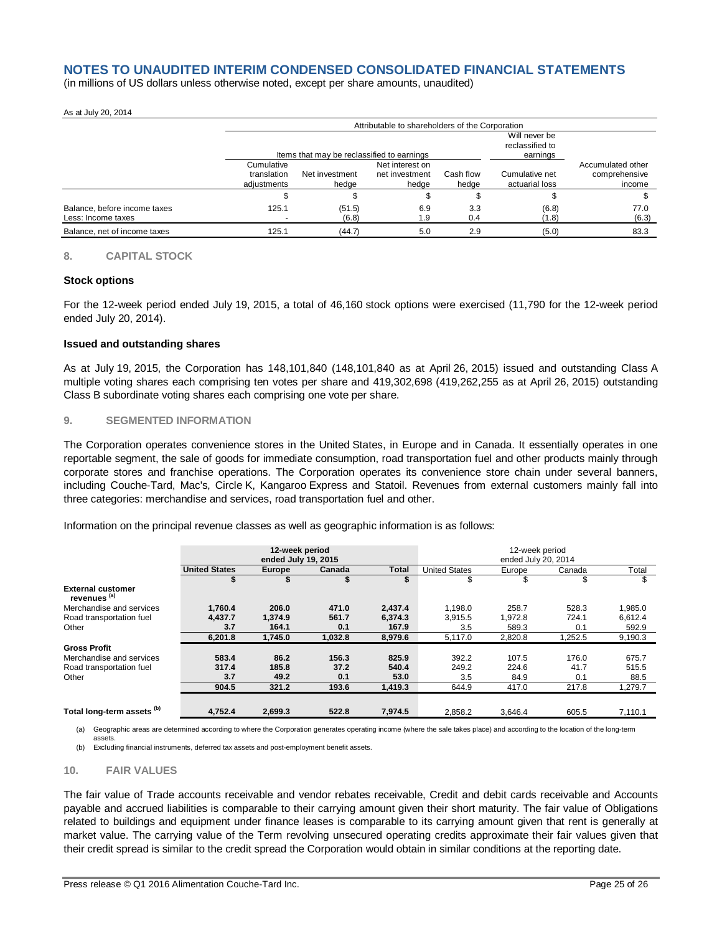(in millions of US dollars unless otherwise noted, except per share amounts, unaudited)

#### As at July 20, 2014

|                                                    |                                          | Attributable to shareholders of the Corporation                                            |                                                         |            |                                  |                                              |  |  |
|----------------------------------------------------|------------------------------------------|--------------------------------------------------------------------------------------------|---------------------------------------------------------|------------|----------------------------------|----------------------------------------------|--|--|
|                                                    |                                          | Will never be<br>reclassified to<br>Items that may be reclassified to earnings<br>earnings |                                                         |            |                                  |                                              |  |  |
|                                                    | Cumulative<br>translation<br>adjustments | Net investment<br>hedae                                                                    | Net interest on<br>net investment<br>Cash flow<br>hedae |            | Cumulative net<br>actuarial loss | Accumulated other<br>comprehensive<br>income |  |  |
|                                                    |                                          |                                                                                            |                                                         |            |                                  |                                              |  |  |
| Balance, before income taxes<br>Less: Income taxes | 125.1                                    | (51.5)<br>(6.8)                                                                            | 6.9<br>1.9                                              | 3.3<br>0.4 | (6.8)<br>(1.8)                   | 77.0<br>(6.3)                                |  |  |
| Balance, net of income taxes                       | 125.1                                    | (44.7)                                                                                     | 5.0                                                     | 2.9        | (5.0)                            | 83.3                                         |  |  |

#### **8. CAPITAL STOCK**

#### **Stock options**

For the 12-week period ended July 19, 2015, a total of 46,160 stock options were exercised (11,790 for the 12-week period ended July 20, 2014).

#### **Issued and outstanding shares**

As at July 19, 2015, the Corporation has 148,101,840 (148,101,840 as at April 26, 2015) issued and outstanding Class A multiple voting shares each comprising ten votes per share and 419,302,698 (419,262,255 as at April 26, 2015) outstanding Class B subordinate voting shares each comprising one vote per share.

#### **9. SEGMENTED INFORMATION**

The Corporation operates convenience stores in the United States, in Europe and in Canada. It essentially operates in one reportable segment, the sale of goods for immediate consumption, road transportation fuel and other products mainly through corporate stores and franchise operations. The Corporation operates its convenience store chain under several banners, including Couche-Tard, Mac's, Circle K, Kangaroo Express and Statoil. Revenues from external customers mainly fall into three categories: merchandise and services, road transportation fuel and other.

Information on the principal revenue classes as well as geographic information is as follows:

|                                                     | 12-week period<br>ended July 19, 2015                           |         |         |                      | 12-week period<br>ended July 20, 2014 |         |         |         |  |
|-----------------------------------------------------|-----------------------------------------------------------------|---------|---------|----------------------|---------------------------------------|---------|---------|---------|--|
|                                                     | <b>United States</b><br><b>Total</b><br>Canada<br><b>Europe</b> |         |         | <b>United States</b> | Total<br>Canada<br>Europe             |         |         |         |  |
|                                                     | ъ                                                               |         |         |                      | J                                     | \$      | S       | \$      |  |
| <b>External customer</b><br>revenues <sup>(a)</sup> |                                                                 |         |         |                      |                                       |         |         |         |  |
| Merchandise and services                            | 1,760.4                                                         | 206.0   | 471.0   | 2,437.4              | 1.198.0                               | 258.7   | 528.3   | 1,985.0 |  |
| Road transportation fuel                            | 4,437.7                                                         | 1,374.9 | 561.7   | 6,374.3              | 3.915.5                               | 1.972.8 | 724.1   | 6.612.4 |  |
| Other                                               | 3.7                                                             | 164.1   | 0.1     | 167.9                | 3.5                                   | 589.3   | 0.1     | 592.9   |  |
|                                                     | 6,201.8                                                         | 1,745.0 | 1,032.8 | 8,979.6              | 5,117.0                               | 2,820.8 | 1,252.5 | 9,190.3 |  |
| <b>Gross Profit</b>                                 |                                                                 |         |         |                      |                                       |         |         |         |  |
| Merchandise and services                            | 583.4                                                           | 86.2    | 156.3   | 825.9                | 392.2                                 | 107.5   | 176.0   | 675.7   |  |
| Road transportation fuel                            | 317.4                                                           | 185.8   | 37.2    | 540.4                | 249.2                                 | 224.6   | 41.7    | 515.5   |  |
| Other                                               | 3.7                                                             | 49.2    | 0.1     | 53.0                 | 3.5                                   | 84.9    | 0.1     | 88.5    |  |
|                                                     | 904.5                                                           | 321.2   | 193.6   | 1,419.3              | 644.9                                 | 417.0   | 217.8   | 1,279.7 |  |
| Total long-term assets <sup>(b)</sup>               | 4.752.4                                                         | 2,699.3 | 522.8   | 7,974.5              | 2.858.2                               | 3.646.4 | 605.5   | 7,110.1 |  |

(a) Geographic areas are determined according to where the Corporation generates operating income (where the sale takes place) and according to the location of the long-term

(b) Excluding financial instruments, deferred tax assets and post-employment benefit assets.

#### **10. FAIR VALUES**

assets.

The fair value of Trade accounts receivable and vendor rebates receivable, Credit and debit cards receivable and Accounts payable and accrued liabilities is comparable to their carrying amount given their short maturity. The fair value of Obligations related to buildings and equipment under finance leases is comparable to its carrying amount given that rent is generally at market value. The carrying value of the Term revolving unsecured operating credits approximate their fair values given that their credit spread is similar to the credit spread the Corporation would obtain in similar conditions at the reporting date.